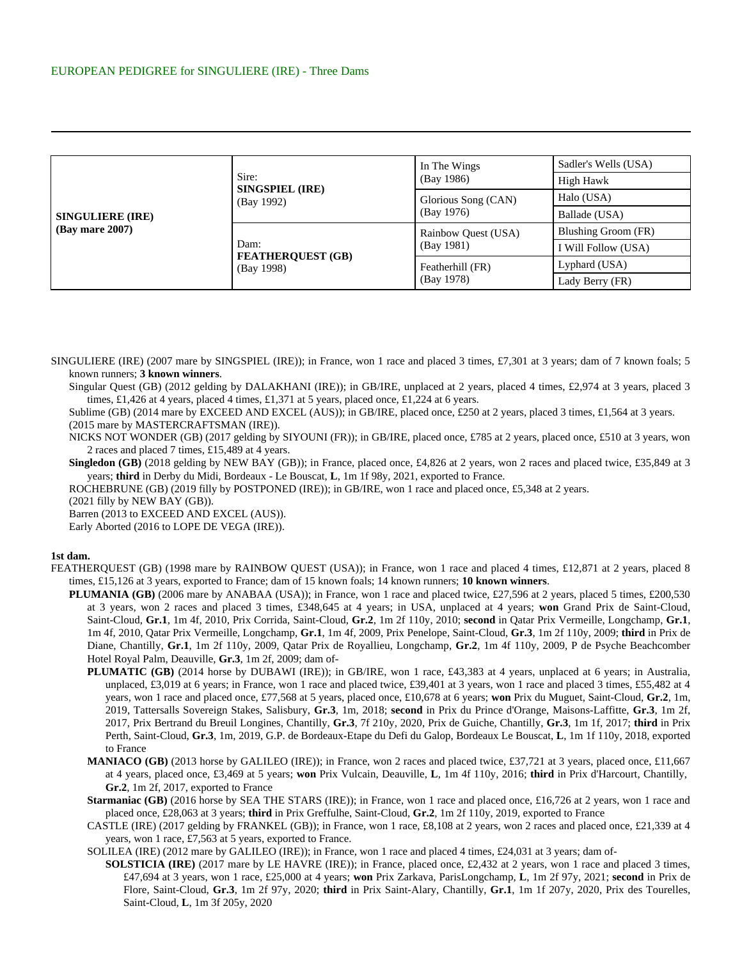| <b>SINGULIERE (IRE)</b><br>$(Bav$ mare $2007$ ) | Sire:<br><b>SINGSPIEL (IRE)</b><br>(Bay 1992)  | In The Wings<br>(Bay 1986)        | Sadler's Wells (USA) |
|-------------------------------------------------|------------------------------------------------|-----------------------------------|----------------------|
|                                                 |                                                |                                   | High Hawk            |
|                                                 |                                                | Glorious Song (CAN)<br>(Bay 1976) | Halo (USA)           |
|                                                 |                                                |                                   | Ballade (USA)        |
|                                                 | Dam:<br><b>FEATHERQUEST (GB)</b><br>(Bay 1998) | Rainbow Quest (USA)<br>(Bay 1981) | Blushing Groom (FR)  |
|                                                 |                                                |                                   | I Will Follow (USA)  |
|                                                 |                                                | Featherhill (FR)<br>(Bay 1978)    | Lyphard (USA)        |
|                                                 |                                                |                                   | Lady Berry (FR)      |

SINGULIERE (IRE) (2007 mare by SINGSPIEL (IRE)); in France, won 1 race and placed 3 times, £7,301 at 3 years; dam of 7 known foals; 5 known runners; **3 known winners**.

Singular Quest (GB) (2012 gelding by DALAKHANI (IRE)); in GB/IRE, unplaced at 2 years, placed 4 times, £2,974 at 3 years, placed 3 times, £1,426 at 4 years, placed 4 times, £1,371 at 5 years, placed once, £1,224 at 6 years.

Sublime (GB) (2014 mare by EXCEED AND EXCEL (AUS)); in GB/IRE, placed once, £250 at 2 years, placed 3 times, £1,564 at 3 years. (2015 mare by MASTERCRAFTSMAN (IRE)).

NICKS NOT WONDER (GB) (2017 gelding by SIYOUNI (FR)); in GB/IRE, placed once, £785 at 2 years, placed once, £510 at 3 years, won 2 races and placed 7 times, £15,489 at 4 years.

**Singledon (GB)** (2018 gelding by NEW BAY (GB)); in France, placed once, £4,826 at 2 years, won 2 races and placed twice, £35,849 at 3 years; **third** in Derby du Midi, Bordeaux - Le Bouscat, **L**, 1m 1f 98y, 2021, exported to France.

ROCHEBRUNE (GB) (2019 filly by POSTPONED (IRE)); in GB/IRE, won 1 race and placed once, £5,348 at 2 years.

(2021 filly by NEW BAY (GB)).

Barren (2013 to EXCEED AND EXCEL (AUS)).

Early Aborted (2016 to LOPE DE VEGA (IRE)).

## **1st dam.**

- FEATHERQUEST (GB) (1998 mare by RAINBOW QUEST (USA)); in France, won 1 race and placed 4 times, £12,871 at 2 years, placed 8 times, £15,126 at 3 years, exported to France; dam of 15 known foals; 14 known runners; **10 known winners**.
	- **PLUMANIA (GB)** (2006 mare by ANABAA (USA)); in France, won 1 race and placed twice, £27,596 at 2 years, placed 5 times, £200,530 at 3 years, won 2 races and placed 3 times, £348,645 at 4 years; in USA, unplaced at 4 years; **won** Grand Prix de Saint-Cloud, Saint-Cloud, **Gr.1**, 1m 4f, 2010, Prix Corrida, Saint-Cloud, **Gr.2**, 1m 2f 110y, 2010; **second** in Qatar Prix Vermeille, Longchamp, **Gr.1**, 1m 4f, 2010, Qatar Prix Vermeille, Longchamp, **Gr.1**, 1m 4f, 2009, Prix Penelope, Saint-Cloud, **Gr.3**, 1m 2f 110y, 2009; **third** in Prix de Diane, Chantilly, **Gr.1**, 1m 2f 110y, 2009, Qatar Prix de Royallieu, Longchamp, **Gr.2**, 1m 4f 110y, 2009, P de Psyche Beachcomber Hotel Royal Palm, Deauville, **Gr.3**, 1m 2f, 2009; dam of-
		- **PLUMATIC (GB)** (2014 horse by DUBAWI (IRE)); in GB/IRE, won 1 race, £43,383 at 4 years, unplaced at 6 years; in Australia, unplaced, £3,019 at 6 years; in France, won 1 race and placed twice, £39,401 at 3 years, won 1 race and placed 3 times, £55,482 at 4 years, won 1 race and placed once, £77,568 at 5 years, placed once, £10,678 at 6 years; **won** Prix du Muguet, Saint-Cloud, **Gr.2**, 1m, 2019, Tattersalls Sovereign Stakes, Salisbury, **Gr.3**, 1m, 2018; **second** in Prix du Prince d'Orange, Maisons-Laffitte, **Gr.3**, 1m 2f, 2017, Prix Bertrand du Breuil Longines, Chantilly, **Gr.3**, 7f 210y, 2020, Prix de Guiche, Chantilly, **Gr.3**, 1m 1f, 2017; **third** in Prix Perth, Saint-Cloud, **Gr.3**, 1m, 2019, G.P. de Bordeaux-Etape du Defi du Galop, Bordeaux Le Bouscat, **L**, 1m 1f 110y, 2018, exported to France
		- **MANIACO (GB)** (2013 horse by GALILEO (IRE)); in France, won 2 races and placed twice, £37,721 at 3 years, placed once, £11,667 at 4 years, placed once, £3,469 at 5 years; **won** Prix Vulcain, Deauville, **L**, 1m 4f 110y, 2016; **third** in Prix d'Harcourt, Chantilly, **Gr.2**, 1m 2f, 2017, exported to France
		- **Starmaniac (GB)** (2016 horse by SEA THE STARS (IRE)); in France, won 1 race and placed once, £16,726 at 2 years, won 1 race and placed once, £28,063 at 3 years; **third** in Prix Greffulhe, Saint-Cloud, **Gr.2**, 1m 2f 110y, 2019, exported to France
		- CASTLE (IRE) (2017 gelding by FRANKEL (GB)); in France, won 1 race, £8,108 at 2 years, won 2 races and placed once, £21,339 at 4 years, won 1 race, £7,563 at 5 years, exported to France.
		- SOLILEA (IRE) (2012 mare by GALILEO (IRE)); in France, won 1 race and placed 4 times, £24,031 at 3 years; dam of-
			- **SOLSTICIA (IRE)** (2017 mare by LE HAVRE (IRE)); in France, placed once, £2,432 at 2 years, won 1 race and placed 3 times, £47,694 at 3 years, won 1 race, £25,000 at 4 years; **won** Prix Zarkava, ParisLongchamp, **L**, 1m 2f 97y, 2021; **second** in Prix de Flore, Saint-Cloud, **Gr.3**, 1m 2f 97y, 2020; **third** in Prix Saint-Alary, Chantilly, **Gr.1**, 1m 1f 207y, 2020, Prix des Tourelles, Saint-Cloud, **L**, 1m 3f 205y, 2020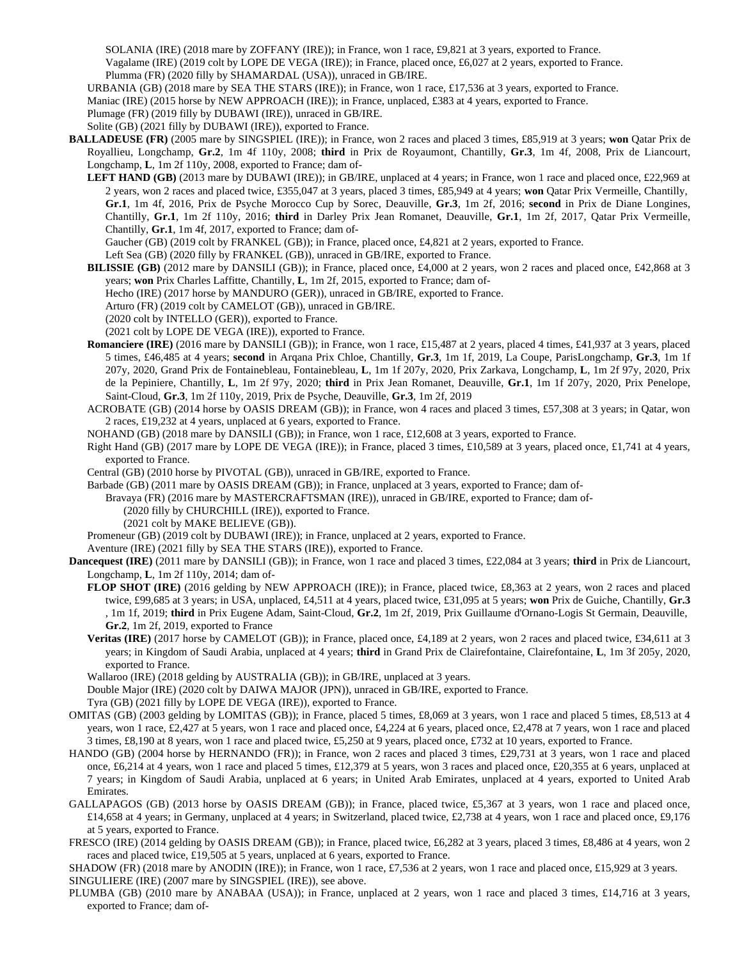SOLANIA (IRE) (2018 mare by ZOFFANY (IRE)); in France, won 1 race, £9,821 at 3 years, exported to France. Vagalame (IRE) (2019 colt by LOPE DE VEGA (IRE)); in France, placed once, £6,027 at 2 years, exported to France. Plumma (FR) (2020 filly by SHAMARDAL (USA)), unraced in GB/IRE.

URBANIA (GB) (2018 mare by SEA THE STARS (IRE)); in France, won 1 race, £17,536 at 3 years, exported to France. Maniac (IRE) (2015 horse by NEW APPROACH (IRE)); in France, unplaced, £383 at 4 years, exported to France. Plumage (FR) (2019 filly by DUBAWI (IRE)), unraced in GB/IRE.

Solite (GB) (2021 filly by DUBAWI (IRE)), exported to France.

**BALLADEUSE (FR)** (2005 mare by SINGSPIEL (IRE)); in France, won 2 races and placed 3 times, £85,919 at 3 years; **won** Qatar Prix de Royallieu, Longchamp, **Gr.2**, 1m 4f 110y, 2008; **third** in Prix de Royaumont, Chantilly, **Gr.3**, 1m 4f, 2008, Prix de Liancourt, Longchamp, **L**, 1m 2f 110y, 2008, exported to France; dam of-

LEFT HAND (GB) (2013 mare by DUBAWI (IRE)); in GB/IRE, unplaced at 4 years; in France, won 1 race and placed once, £22,969 at 2 years, won 2 races and placed twice, £355,047 at 3 years, placed 3 times, £85,949 at 4 years; **won** Qatar Prix Vermeille, Chantilly, **Gr.1**, 1m 4f, 2016, Prix de Psyche Morocco Cup by Sorec, Deauville, **Gr.3**, 1m 2f, 2016; **second** in Prix de Diane Longines, Chantilly, **Gr.1**, 1m 2f 110y, 2016; **third** in Darley Prix Jean Romanet, Deauville, **Gr.1**, 1m 2f, 2017, Qatar Prix Vermeille, Chantilly, **Gr.1**, 1m 4f, 2017, exported to France; dam of-

Gaucher (GB) (2019 colt by FRANKEL (GB)); in France, placed once, £4,821 at 2 years, exported to France.

Left Sea (GB) (2020 filly by FRANKEL (GB)), unraced in GB/IRE, exported to France.

**BILISSIE (GB)** (2012 mare by DANSILI (GB)); in France, placed once, £4,000 at 2 years, won 2 races and placed once, £42,868 at 3 years; **won** Prix Charles Laffitte, Chantilly, **L**, 1m 2f, 2015, exported to France; dam of-

Hecho (IRE) (2017 horse by MANDURO (GER)), unraced in GB/IRE, exported to France.

Arturo (FR) (2019 colt by CAMELOT (GB)), unraced in GB/IRE.

(2020 colt by INTELLO (GER)), exported to France.

(2021 colt by LOPE DE VEGA (IRE)), exported to France.

**Romanciere (IRE)** (2016 mare by DANSILI (GB)); in France, won 1 race, £15,487 at 2 years, placed 4 times, £41,937 at 3 years, placed 5 times, £46,485 at 4 years; **second** in Arqana Prix Chloe, Chantilly, **Gr.3**, 1m 1f, 2019, La Coupe, ParisLongchamp, **Gr.3**, 1m 1f 207y, 2020, Grand Prix de Fontainebleau, Fontainebleau, **L**, 1m 1f 207y, 2020, Prix Zarkava, Longchamp, **L**, 1m 2f 97y, 2020, Prix de la Pepiniere, Chantilly, **L**, 1m 2f 97y, 2020; **third** in Prix Jean Romanet, Deauville, **Gr.1**, 1m 1f 207y, 2020, Prix Penelope, Saint-Cloud, **Gr.3**, 1m 2f 110y, 2019, Prix de Psyche, Deauville, **Gr.3**, 1m 2f, 2019

ACROBATE (GB) (2014 horse by OASIS DREAM (GB)); in France, won 4 races and placed 3 times, £57,308 at 3 years; in Qatar, won 2 races, £19,232 at 4 years, unplaced at 6 years, exported to France.

NOHAND (GB) (2018 mare by DANSILI (GB)); in France, won 1 race, £12,608 at 3 years, exported to France.

Right Hand (GB) (2017 mare by LOPE DE VEGA (IRE)); in France, placed 3 times, £10,589 at 3 years, placed once, £1,741 at 4 years, exported to France.

Central (GB) (2010 horse by PIVOTAL (GB)), unraced in GB/IRE, exported to France.

Barbade (GB) (2011 mare by OASIS DREAM (GB)); in France, unplaced at 3 years, exported to France; dam of-

Bravaya (FR) (2016 mare by MASTERCRAFTSMAN (IRE)), unraced in GB/IRE, exported to France; dam of-

(2020 filly by CHURCHILL (IRE)), exported to France.

(2021 colt by MAKE BELIEVE (GB)).

Promeneur (GB) (2019 colt by DUBAWI (IRE)); in France, unplaced at 2 years, exported to France.

Aventure (IRE) (2021 filly by SEA THE STARS (IRE)), exported to France.

**Dancequest (IRE)** (2011 mare by DANSILI (GB)); in France, won 1 race and placed 3 times, £22,084 at 3 years; **third** in Prix de Liancourt, Longchamp, **L**, 1m 2f 110y, 2014; dam of-

- **FLOP SHOT (IRE)** (2016 gelding by NEW APPROACH (IRE)); in France, placed twice, £8,363 at 2 years, won 2 races and placed twice, £99,685 at 3 years; in USA, unplaced, £4,511 at 4 years, placed twice, £31,095 at 5 years; **won** Prix de Guiche, Chantilly, **Gr.3** , 1m 1f, 2019; **third** in Prix Eugene Adam, Saint-Cloud, **Gr.2**, 1m 2f, 2019, Prix Guillaume d'Ornano-Logis St Germain, Deauville, **Gr.2**, 1m 2f, 2019, exported to France
- **Veritas (IRE)** (2017 horse by CAMELOT (GB)); in France, placed once, £4,189 at 2 years, won 2 races and placed twice, £34,611 at 3 years; in Kingdom of Saudi Arabia, unplaced at 4 years; **third** in Grand Prix de Clairefontaine, Clairefontaine, **L**, 1m 3f 205y, 2020, exported to France.

Wallaroo (IRE) (2018 gelding by AUSTRALIA (GB)); in GB/IRE, unplaced at 3 years.

Double Major (IRE) (2020 colt by DAIWA MAJOR (JPN)), unraced in GB/IRE, exported to France.

Tyra (GB) (2021 filly by LOPE DE VEGA (IRE)), exported to France.

- OMITAS (GB) (2003 gelding by LOMITAS (GB)); in France, placed 5 times, £8,069 at 3 years, won 1 race and placed 5 times, £8,513 at 4 years, won 1 race, £2,427 at 5 years, won 1 race and placed once, £4,224 at 6 years, placed once, £2,478 at 7 years, won 1 race and placed 3 times, £8,190 at 8 years, won 1 race and placed twice, £5,250 at 9 years, placed once, £732 at 10 years, exported to France.
- HANDO (GB) (2004 horse by HERNANDO (FR)); in France, won 2 races and placed 3 times, £29,731 at 3 years, won 1 race and placed once, £6,214 at 4 years, won 1 race and placed 5 times, £12,379 at 5 years, won 3 races and placed once, £20,355 at 6 years, unplaced at 7 years; in Kingdom of Saudi Arabia, unplaced at 6 years; in United Arab Emirates, unplaced at 4 years, exported to United Arab Emirates.
- GALLAPAGOS (GB) (2013 horse by OASIS DREAM (GB)); in France, placed twice, £5,367 at 3 years, won 1 race and placed once, £14,658 at 4 years; in Germany, unplaced at 4 years; in Switzerland, placed twice, £2,738 at 4 years, won 1 race and placed once, £9,176 at 5 years, exported to France.
- FRESCO (IRE) (2014 gelding by OASIS DREAM (GB)); in France, placed twice, £6,282 at 3 years, placed 3 times, £8,486 at 4 years, won 2 races and placed twice, £19,505 at 5 years, unplaced at 6 years, exported to France.

SHADOW (FR) (2018 mare by ANODIN (IRE)); in France, won 1 race, £7,536 at 2 years, won 1 race and placed once, £15,929 at 3 years. SINGULIERE (IRE) (2007 mare by SINGSPIEL (IRE)), see above.

PLUMBA (GB) (2010 mare by ANABAA (USA)); in France, unplaced at 2 years, won 1 race and placed 3 times, £14,716 at 3 years, exported to France; dam of-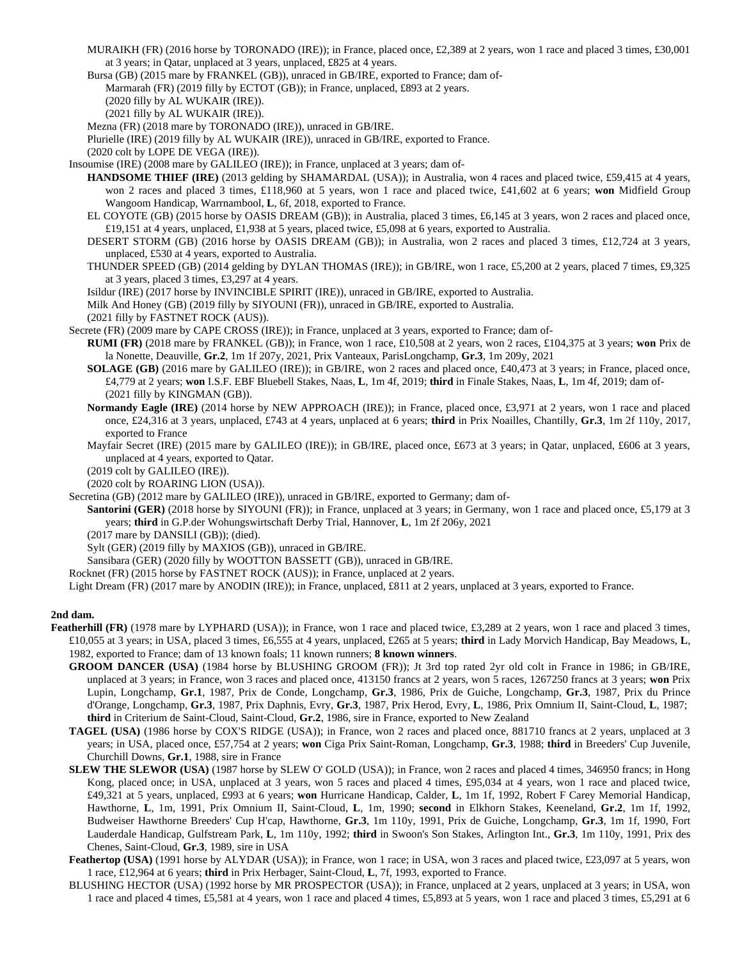- MURAIKH (FR) (2016 horse by TORONADO (IRE)); in France, placed once, £2,389 at 2 years, won 1 race and placed 3 times, £30,001 at 3 years; in Qatar, unplaced at 3 years, unplaced, £825 at 4 years.
- Bursa (GB) (2015 mare by FRANKEL (GB)), unraced in GB/IRE, exported to France; dam of-
- Marmarah (FR) (2019 filly by ECTOT (GB)); in France, unplaced, £893 at 2 years.
	- (2020 filly by AL WUKAIR (IRE)).
	- (2021 filly by AL WUKAIR (IRE)).
- Mezna (FR) (2018 mare by TORONADO (IRE)), unraced in GB/IRE.
- Plurielle (IRE) (2019 filly by AL WUKAIR (IRE)), unraced in GB/IRE, exported to France.
- (2020 colt by LOPE DE VEGA (IRE)).
- Insoumise (IRE) (2008 mare by GALILEO (IRE)); in France, unplaced at 3 years; dam of-
	- **HANDSOME THIEF (IRE)** (2013 gelding by SHAMARDAL (USA)); in Australia, won 4 races and placed twice, £59,415 at 4 years, won 2 races and placed 3 times, £118,960 at 5 years, won 1 race and placed twice, £41,602 at 6 years; **won** Midfield Group Wangoom Handicap, Warrnambool, **L**, 6f, 2018, exported to France.
	- EL COYOTE (GB) (2015 horse by OASIS DREAM (GB)); in Australia, placed 3 times, £6,145 at 3 years, won 2 races and placed once, £19,151 at 4 years, unplaced, £1,938 at 5 years, placed twice, £5,098 at 6 years, exported to Australia.
	- DESERT STORM (GB) (2016 horse by OASIS DREAM (GB)); in Australia, won 2 races and placed 3 times, £12,724 at 3 years, unplaced, £530 at 4 years, exported to Australia.
	- THUNDER SPEED (GB) (2014 gelding by DYLAN THOMAS (IRE)); in GB/IRE, won 1 race, £5,200 at 2 years, placed 7 times, £9,325 at 3 years, placed 3 times, £3,297 at 4 years.
	- Isildur (IRE) (2017 horse by INVINCIBLE SPIRIT (IRE)), unraced in GB/IRE, exported to Australia.
	- Milk And Honey (GB) (2019 filly by SIYOUNI (FR)), unraced in GB/IRE, exported to Australia.
	- (2021 filly by FASTNET ROCK (AUS)).
- Secrete (FR) (2009 mare by CAPE CROSS (IRE)); in France, unplaced at 3 years, exported to France; dam of-
	- **RUMI (FR)** (2018 mare by FRANKEL (GB)); in France, won 1 race, £10,508 at 2 years, won 2 races, £104,375 at 3 years; **won** Prix de la Nonette, Deauville, **Gr.2**, 1m 1f 207y, 2021, Prix Vanteaux, ParisLongchamp, **Gr.3**, 1m 209y, 2021
	- **SOLAGE (GB)** (2016 mare by GALILEO (IRE)); in GB/IRE, won 2 races and placed once, £40,473 at 3 years; in France, placed once, £4,779 at 2 years; **won** I.S.F. EBF Bluebell Stakes, Naas, **L**, 1m 4f, 2019; **third** in Finale Stakes, Naas, **L**, 1m 4f, 2019; dam of- (2021 filly by KINGMAN (GB)).
	- **Normandy Eagle (IRE)** (2014 horse by NEW APPROACH (IRE)); in France, placed once, £3,971 at 2 years, won 1 race and placed once, £24,316 at 3 years, unplaced, £743 at 4 years, unplaced at 6 years; **third** in Prix Noailles, Chantilly, **Gr.3**, 1m 2f 110y, 2017, exported to France
	- Mayfair Secret (IRE) (2015 mare by GALILEO (IRE)); in GB/IRE, placed once, £673 at 3 years; in Qatar, unplaced, £606 at 3 years, unplaced at 4 years, exported to Qatar.

(2019 colt by GALILEO (IRE)).

- (2020 colt by ROARING LION (USA)).
- Secretina (GB) (2012 mare by GALILEO (IRE)), unraced in GB/IRE, exported to Germany; dam of-
	- **Santorini (GER)** (2018 horse by SIYOUNI (FR)); in France, unplaced at 3 years; in Germany, won 1 race and placed once, £5,179 at 3 years; **third** in G.P.der Wohungswirtschaft Derby Trial, Hannover, **L**, 1m 2f 206y, 2021
		- (2017 mare by DANSILI (GB)); (died).
		- Sylt (GER) (2019 filly by MAXIOS (GB)), unraced in GB/IRE.
	- Sansibara (GER) (2020 filly by WOOTTON BASSETT (GB)), unraced in GB/IRE.
- Rocknet (FR) (2015 horse by FASTNET ROCK (AUS)); in France, unplaced at 2 years.

Light Dream (FR) (2017 mare by ANODIN (IRE)); in France, unplaced, £811 at 2 years, unplaced at 3 years, exported to France.

## **2nd dam.**

- Featherhill (FR) (1978 mare by LYPHARD (USA)); in France, won 1 race and placed twice, £3,289 at 2 years, won 1 race and placed 3 times, £10,055 at 3 years; in USA, placed 3 times, £6,555 at 4 years, unplaced, £265 at 5 years; **third** in Lady Morvich Handicap, Bay Meadows, **L**, 1982, exported to France; dam of 13 known foals; 11 known runners; **8 known winners**.
	- **GROOM DANCER (USA)** (1984 horse by BLUSHING GROOM (FR)); Jt 3rd top rated 2yr old colt in France in 1986; in GB/IRE, unplaced at 3 years; in France, won 3 races and placed once, 413150 francs at 2 years, won 5 races, 1267250 francs at 3 years; **won** Prix Lupin, Longchamp, **Gr.1**, 1987, Prix de Conde, Longchamp, **Gr.3**, 1986, Prix de Guiche, Longchamp, **Gr.3**, 1987, Prix du Prince d'Orange, Longchamp, **Gr.3**, 1987, Prix Daphnis, Evry, **Gr.3**, 1987, Prix Herod, Evry, **L**, 1986, Prix Omnium II, Saint-Cloud, **L**, 1987; **third** in Criterium de Saint-Cloud, Saint-Cloud, **Gr.2**, 1986, sire in France, exported to New Zealand
	- **TAGEL (USA)** (1986 horse by COX'S RIDGE (USA)); in France, won 2 races and placed once, 881710 francs at 2 years, unplaced at 3 years; in USA, placed once, £57,754 at 2 years; **won** Ciga Prix Saint-Roman, Longchamp, **Gr.3**, 1988; **third** in Breeders' Cup Juvenile, Churchill Downs, **Gr.1**, 1988, sire in France
	- **SLEW THE SLEWOR (USA)** (1987 horse by SLEW O' GOLD (USA)); in France, won 2 races and placed 4 times, 346950 francs; in Hong Kong, placed once; in USA, unplaced at 3 years, won 5 races and placed 4 times, £95,034 at 4 years, won 1 race and placed twice, £49,321 at 5 years, unplaced, £993 at 6 years; **won** Hurricane Handicap, Calder, **L**, 1m 1f, 1992, Robert F Carey Memorial Handicap, Hawthorne, **L**, 1m, 1991, Prix Omnium II, Saint-Cloud, **L**, 1m, 1990; **second** in Elkhorn Stakes, Keeneland, **Gr.2**, 1m 1f, 1992, Budweiser Hawthorne Breeders' Cup H'cap, Hawthorne, **Gr.3**, 1m 110y, 1991, Prix de Guiche, Longchamp, **Gr.3**, 1m 1f, 1990, Fort Lauderdale Handicap, Gulfstream Park, **L**, 1m 110y, 1992; **third** in Swoon's Son Stakes, Arlington Int., **Gr.3**, 1m 110y, 1991, Prix des Chenes, Saint-Cloud, **Gr.3**, 1989, sire in USA
	- Feathertop (USA) (1991 horse by ALYDAR (USA)); in France, won 1 race; in USA, won 3 races and placed twice, £23,097 at 5 years, won 1 race, £12,964 at 6 years; **third** in Prix Herbager, Saint-Cloud, **L**, 7f, 1993, exported to France.
	- BLUSHING HECTOR (USA) (1992 horse by MR PROSPECTOR (USA)); in France, unplaced at 2 years, unplaced at 3 years; in USA, won 1 race and placed 4 times, £5,581 at 4 years, won 1 race and placed 4 times, £5,893 at 5 years, won 1 race and placed 3 times, £5,291 at 6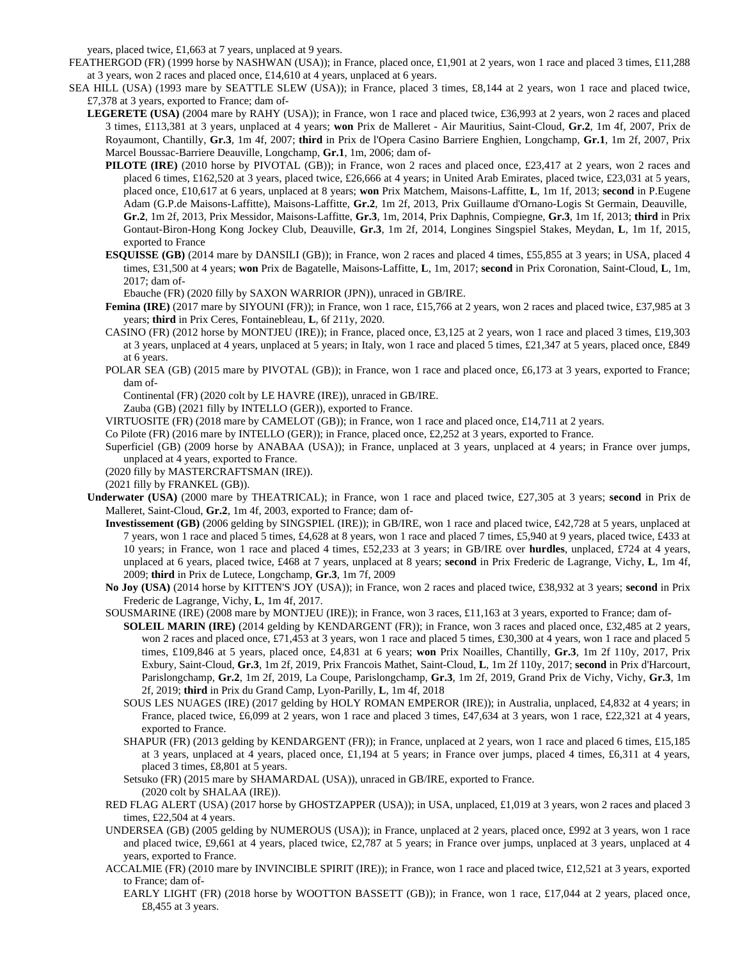years, placed twice, £1,663 at 7 years, unplaced at 9 years.

- FEATHERGOD (FR) (1999 horse by NASHWAN (USA)); in France, placed once, £1,901 at 2 years, won 1 race and placed 3 times, £11,288 at 3 years, won 2 races and placed once, £14,610 at 4 years, unplaced at 6 years.
- SEA HILL (USA) (1993 mare by SEATTLE SLEW (USA)); in France, placed 3 times, £8,144 at 2 years, won 1 race and placed twice, £7,378 at 3 years, exported to France; dam of-
	- **LEGERETE (USA)** (2004 mare by RAHY (USA)); in France, won 1 race and placed twice, £36,993 at 2 years, won 2 races and placed 3 times, £113,381 at 3 years, unplaced at 4 years; **won** Prix de Malleret - Air Mauritius, Saint-Cloud, **Gr.2**, 1m 4f, 2007, Prix de Royaumont, Chantilly, **Gr.3**, 1m 4f, 2007; **third** in Prix de l'Opera Casino Barriere Enghien, Longchamp, **Gr.1**, 1m 2f, 2007, Prix Marcel Boussac-Barriere Deauville, Longchamp, **Gr.1**, 1m, 2006; dam of-
		- **PILOTE (IRE)** (2010 horse by PIVOTAL (GB)); in France, won 2 races and placed once, £23,417 at 2 years, won 2 races and placed 6 times, £162,520 at 3 years, placed twice, £26,666 at 4 years; in United Arab Emirates, placed twice, £23,031 at 5 years, placed once, £10,617 at 6 years, unplaced at 8 years; **won** Prix Matchem, Maisons-Laffitte, **L**, 1m 1f, 2013; **second** in P.Eugene Adam (G.P.de Maisons-Laffitte), Maisons-Laffitte, **Gr.2**, 1m 2f, 2013, Prix Guillaume d'Ornano-Logis St Germain, Deauville, **Gr.2**, 1m 2f, 2013, Prix Messidor, Maisons-Laffitte, **Gr.3**, 1m, 2014, Prix Daphnis, Compiegne, **Gr.3**, 1m 1f, 2013; **third** in Prix Gontaut-Biron-Hong Kong Jockey Club, Deauville, **Gr.3**, 1m 2f, 2014, Longines Singspiel Stakes, Meydan, **L**, 1m 1f, 2015, exported to France
		- **ESQUISSE (GB)** (2014 mare by DANSILI (GB)); in France, won 2 races and placed 4 times, £55,855 at 3 years; in USA, placed 4 times, £31,500 at 4 years; **won** Prix de Bagatelle, Maisons-Laffitte, **L**, 1m, 2017; **second** in Prix Coronation, Saint-Cloud, **L**, 1m, 2017; dam of-

Ebauche (FR) (2020 filly by SAXON WARRIOR (JPN)), unraced in GB/IRE.

- **Femina (IRE)** (2017 mare by SIYOUNI (FR)); in France, won 1 race, £15,766 at 2 years, won 2 races and placed twice, £37,985 at 3 years; **third** in Prix Ceres, Fontainebleau, **L**, 6f 211y, 2020.
- CASINO (FR) (2012 horse by MONTJEU (IRE)); in France, placed once, £3,125 at 2 years, won 1 race and placed 3 times, £19,303 at 3 years, unplaced at 4 years, unplaced at 5 years; in Italy, won 1 race and placed 5 times, £21,347 at 5 years, placed once, £849 at 6 years.
- POLAR SEA (GB) (2015 mare by PIVOTAL (GB)); in France, won 1 race and placed once, £6,173 at 3 years, exported to France; dam of-

Continental (FR) (2020 colt by LE HAVRE (IRE)), unraced in GB/IRE.

Zauba (GB) (2021 filly by INTELLO (GER)), exported to France.

VIRTUOSITE (FR) (2018 mare by CAMELOT (GB)); in France, won 1 race and placed once, £14,711 at 2 years.

Co Pilote (FR) (2016 mare by INTELLO (GER)); in France, placed once, £2,252 at 3 years, exported to France.

- Superficiel (GB) (2009 horse by ANABAA (USA)); in France, unplaced at 3 years, unplaced at 4 years; in France over jumps, unplaced at 4 years, exported to France.
- (2020 filly by MASTERCRAFTSMAN (IRE)).

(2021 filly by FRANKEL (GB)).

- **Underwater (USA)** (2000 mare by THEATRICAL); in France, won 1 race and placed twice, £27,305 at 3 years; **second** in Prix de Malleret, Saint-Cloud, **Gr.2**, 1m 4f, 2003, exported to France; dam of-
	- **Investissement (GB)** (2006 gelding by SINGSPIEL (IRE)); in GB/IRE, won 1 race and placed twice, £42,728 at 5 years, unplaced at 7 years, won 1 race and placed 5 times, £4,628 at 8 years, won 1 race and placed 7 times, £5,940 at 9 years, placed twice, £433 at 10 years; in France, won 1 race and placed 4 times, £52,233 at 3 years; in GB/IRE over **hurdles**, unplaced, £724 at 4 years, unplaced at 6 years, placed twice, £468 at 7 years, unplaced at 8 years; **second** in Prix Frederic de Lagrange, Vichy, **L**, 1m 4f, 2009; **third** in Prix de Lutece, Longchamp, **Gr.3**, 1m 7f, 2009
	- **No Joy (USA)** (2014 horse by KITTEN'S JOY (USA)); in France, won 2 races and placed twice, £38,932 at 3 years; **second** in Prix Frederic de Lagrange, Vichy, **L**, 1m 4f, 2017.
	- SOUSMARINE (IRE) (2008 mare by MONTJEU (IRE)); in France, won 3 races, £11,163 at 3 years, exported to France; dam of-
		- **SOLEIL MARIN (IRE)** (2014 gelding by KENDARGENT (FR)); in France, won 3 races and placed once, £32,485 at 2 years, won 2 races and placed once, £71,453 at 3 years, won 1 race and placed 5 times, £30,300 at 4 years, won 1 race and placed 5 times, £109,846 at 5 years, placed once, £4,831 at 6 years; **won** Prix Noailles, Chantilly, **Gr.3**, 1m 2f 110y, 2017, Prix Exbury, Saint-Cloud, **Gr.3**, 1m 2f, 2019, Prix Francois Mathet, Saint-Cloud, **L**, 1m 2f 110y, 2017; **second** in Prix d'Harcourt, Parislongchamp, **Gr.2**, 1m 2f, 2019, La Coupe, Parislongchamp, **Gr.3**, 1m 2f, 2019, Grand Prix de Vichy, Vichy, **Gr.3**, 1m 2f, 2019; **third** in Prix du Grand Camp, Lyon-Parilly, **L**, 1m 4f, 2018
		- SOUS LES NUAGES (IRE) (2017 gelding by HOLY ROMAN EMPEROR (IRE)); in Australia, unplaced, £4,832 at 4 years; in France, placed twice, £6,099 at 2 years, won 1 race and placed 3 times, £47,634 at 3 years, won 1 race, £22,321 at 4 years, exported to France.
		- SHAPUR (FR) (2013 gelding by KENDARGENT (FR)); in France, unplaced at 2 years, won 1 race and placed 6 times, £15,185 at 3 years, unplaced at 4 years, placed once, £1,194 at 5 years; in France over jumps, placed 4 times, £6,311 at 4 years, placed 3 times, £8,801 at 5 years.
		- Setsuko (FR) (2015 mare by SHAMARDAL (USA)), unraced in GB/IRE, exported to France. (2020 colt by SHALAA (IRE)).
	- RED FLAG ALERT (USA) (2017 horse by GHOSTZAPPER (USA)); in USA, unplaced, £1,019 at 3 years, won 2 races and placed 3 times, £22,504 at 4 years.
	- UNDERSEA (GB) (2005 gelding by NUMEROUS (USA)); in France, unplaced at 2 years, placed once, £992 at 3 years, won 1 race and placed twice, £9,661 at 4 years, placed twice, £2,787 at 5 years; in France over jumps, unplaced at 3 years, unplaced at 4 years, exported to France.
	- ACCALMIE (FR) (2010 mare by INVINCIBLE SPIRIT (IRE)); in France, won 1 race and placed twice, £12,521 at 3 years, exported to France; dam of-
		- EARLY LIGHT (FR) (2018 horse by WOOTTON BASSETT (GB)); in France, won 1 race, £17,044 at 2 years, placed once, £8,455 at 3 years.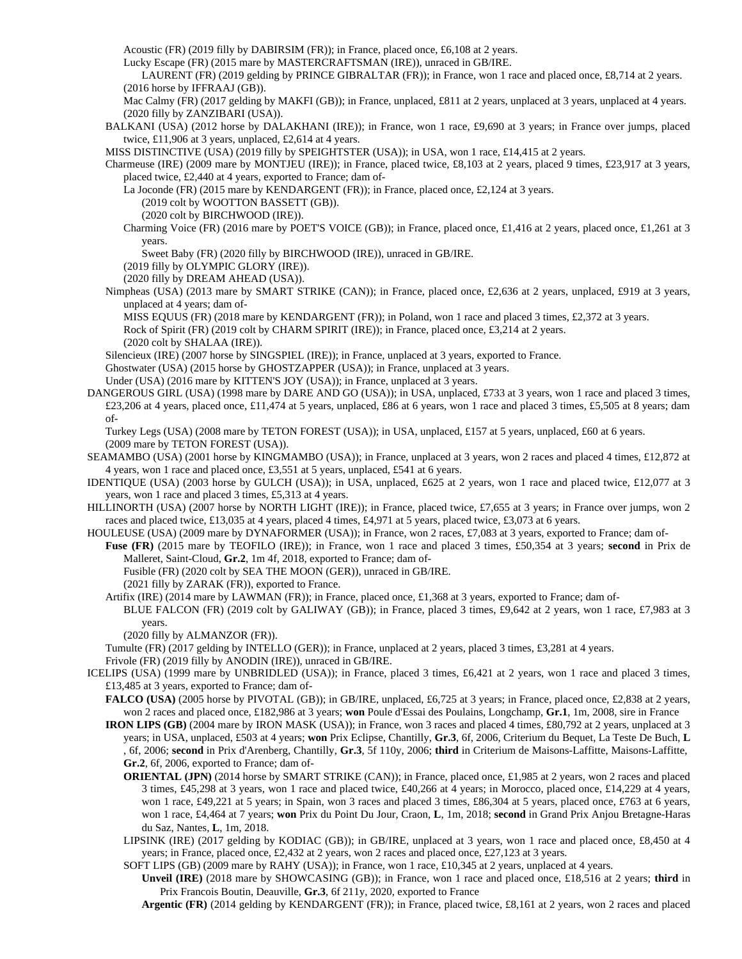Acoustic (FR) (2019 filly by DABIRSIM (FR)); in France, placed once, £6,108 at 2 years.

Lucky Escape (FR) (2015 mare by MASTERCRAFTSMAN (IRE)), unraced in GB/IRE.

LAURENT (FR) (2019 gelding by PRINCE GIBRALTAR (FR)); in France, won 1 race and placed once, £8,714 at 2 years. (2016 horse by IFFRAAJ (GB)).

Mac Calmy (FR) (2017 gelding by MAKFI (GB)); in France, unplaced, £811 at 2 years, unplaced at 3 years, unplaced at 4 years. (2020 filly by ZANZIBARI (USA)).

BALKANI (USA) (2012 horse by DALAKHANI (IRE)); in France, won 1 race, £9,690 at 3 years; in France over jumps, placed twice, £11,906 at 3 years, unplaced, £2,614 at 4 years.

MISS DISTINCTIVE (USA) (2019 filly by SPEIGHTSTER (USA)); in USA, won 1 race, £14,415 at 2 years.

Charmeuse (IRE) (2009 mare by MONTJEU (IRE)); in France, placed twice, £8,103 at 2 years, placed 9 times, £23,917 at 3 years, placed twice, £2,440 at 4 years, exported to France; dam of-

La Joconde (FR) (2015 mare by KENDARGENT (FR)); in France, placed once, £2,124 at 3 years.

(2019 colt by WOOTTON BASSETT (GB)).

(2020 colt by BIRCHWOOD (IRE)).

Charming Voice (FR) (2016 mare by POET'S VOICE (GB)); in France, placed once, £1,416 at 2 years, placed once, £1,261 at 3 years.

Sweet Baby (FR) (2020 filly by BIRCHWOOD (IRE)), unraced in GB/IRE.

(2019 filly by OLYMPIC GLORY (IRE)).

(2020 filly by DREAM AHEAD (USA)).

Nimpheas (USA) (2013 mare by SMART STRIKE (CAN)); in France, placed once, £2,636 at 2 years, unplaced, £919 at 3 years, unplaced at 4 years; dam of-

MISS EQUUS (FR) (2018 mare by KENDARGENT (FR)); in Poland, won 1 race and placed 3 times, £2,372 at 3 years. Rock of Spirit (FR) (2019 colt by CHARM SPIRIT (IRE)); in France, placed once, £3,214 at 2 years. (2020 colt by SHALAA (IRE)).

Silencieux (IRE) (2007 horse by SINGSPIEL (IRE)); in France, unplaced at 3 years, exported to France.

Ghostwater (USA) (2015 horse by GHOSTZAPPER (USA)); in France, unplaced at 3 years.

Under (USA) (2016 mare by KITTEN'S JOY (USA)); in France, unplaced at 3 years.

DANGEROUS GIRL (USA) (1998 mare by DARE AND GO (USA)); in USA, unplaced, £733 at 3 years, won 1 race and placed 3 times, £23,206 at 4 years, placed once, £11,474 at 5 years, unplaced, £86 at 6 years, won 1 race and placed 3 times, £5,505 at 8 years; dam of-

Turkey Legs (USA) (2008 mare by TETON FOREST (USA)); in USA, unplaced, £157 at 5 years, unplaced, £60 at 6 years. (2009 mare by TETON FOREST (USA)).

SEAMAMBO (USA) (2001 horse by KINGMAMBO (USA)); in France, unplaced at 3 years, won 2 races and placed 4 times, £12,872 at 4 years, won 1 race and placed once, £3,551 at 5 years, unplaced, £541 at 6 years.

IDENTIQUE (USA) (2003 horse by GULCH (USA)); in USA, unplaced, £625 at 2 years, won 1 race and placed twice, £12,077 at 3 years, won 1 race and placed 3 times, £5,313 at 4 years.

HILLINORTH (USA) (2007 horse by NORTH LIGHT (IRE)); in France, placed twice, £7,655 at 3 years; in France over jumps, won 2 races and placed twice, £13,035 at 4 years, placed 4 times, £4,971 at 5 years, placed twice, £3,073 at 6 years.

HOULEUSE (USA) (2009 mare by DYNAFORMER (USA)); in France, won 2 races, £7,083 at 3 years, exported to France; dam of-

**Fuse (FR)** (2015 mare by TEOFILO (IRE)); in France, won 1 race and placed 3 times, £50,354 at 3 years; **second** in Prix de Malleret, Saint-Cloud, **Gr.2**, 1m 4f, 2018, exported to France; dam of-

Fusible (FR) (2020 colt by SEA THE MOON (GER)), unraced in GB/IRE.

(2021 filly by ZARAK (FR)), exported to France.

Artifix (IRE) (2014 mare by LAWMAN (FR)); in France, placed once, £1,368 at 3 years, exported to France; dam of-BLUE FALCON (FR) (2019 colt by GALIWAY (GB)); in France, placed 3 times, £9,642 at 2 years, won 1 race, £7,983 at 3 years.

(2020 filly by ALMANZOR (FR)).

Tumulte (FR) (2017 gelding by INTELLO (GER)); in France, unplaced at 2 years, placed 3 times, £3,281 at 4 years.

Frivole (FR) (2019 filly by ANODIN (IRE)), unraced in GB/IRE.

ICELIPS (USA) (1999 mare by UNBRIDLED (USA)); in France, placed 3 times, £6,421 at 2 years, won 1 race and placed 3 times, £13,485 at 3 years, exported to France; dam of-

**FALCO (USA)** (2005 horse by PIVOTAL (GB)); in GB/IRE, unplaced, £6,725 at 3 years; in France, placed once, £2,838 at 2 years, won 2 races and placed once, £182,986 at 3 years; **won** Poule d'Essai des Poulains, Longchamp, **Gr.1**, 1m, 2008, sire in France

**IRON LIPS (GB)** (2004 mare by IRON MASK (USA)); in France, won 3 races and placed 4 times, £80,792 at 2 years, unplaced at 3 years; in USA, unplaced, £503 at 4 years; **won** Prix Eclipse, Chantilly, **Gr.3**, 6f, 2006, Criterium du Bequet, La Teste De Buch, **L** , 6f, 2006; **second** in Prix d'Arenberg, Chantilly, **Gr.3**, 5f 110y, 2006; **third** in Criterium de Maisons-Laffitte, Maisons-Laffitte, **Gr.2**, 6f, 2006, exported to France; dam of-

- **ORIENTAL (JPN)** (2014 horse by SMART STRIKE (CAN)); in France, placed once, £1,985 at 2 years, won 2 races and placed 3 times, £45,298 at 3 years, won 1 race and placed twice, £40,266 at 4 years; in Morocco, placed once, £14,229 at 4 years, won 1 race, £49,221 at 5 years; in Spain, won 3 races and placed 3 times, £86,304 at 5 years, placed once, £763 at 6 years, won 1 race, £4,464 at 7 years; **won** Prix du Point Du Jour, Craon, **L**, 1m, 2018; **second** in Grand Prix Anjou Bretagne-Haras du Saz, Nantes, **L**, 1m, 2018.
- LIPSINK (IRE) (2017 gelding by KODIAC (GB)); in GB/IRE, unplaced at 3 years, won 1 race and placed once, £8,450 at 4 years; in France, placed once, £2,432 at 2 years, won 2 races and placed once, £27,123 at 3 years.

SOFT LIPS (GB) (2009 mare by RAHY (USA)); in France, won 1 race, £10,345 at 2 years, unplaced at 4 years.

**Unveil (IRE)** (2018 mare by SHOWCASING (GB)); in France, won 1 race and placed once, £18,516 at 2 years; **third** in Prix Francois Boutin, Deauville, **Gr.3**, 6f 211y, 2020, exported to France

**Argentic (FR)** (2014 gelding by KENDARGENT (FR)); in France, placed twice, £8,161 at 2 years, won 2 races and placed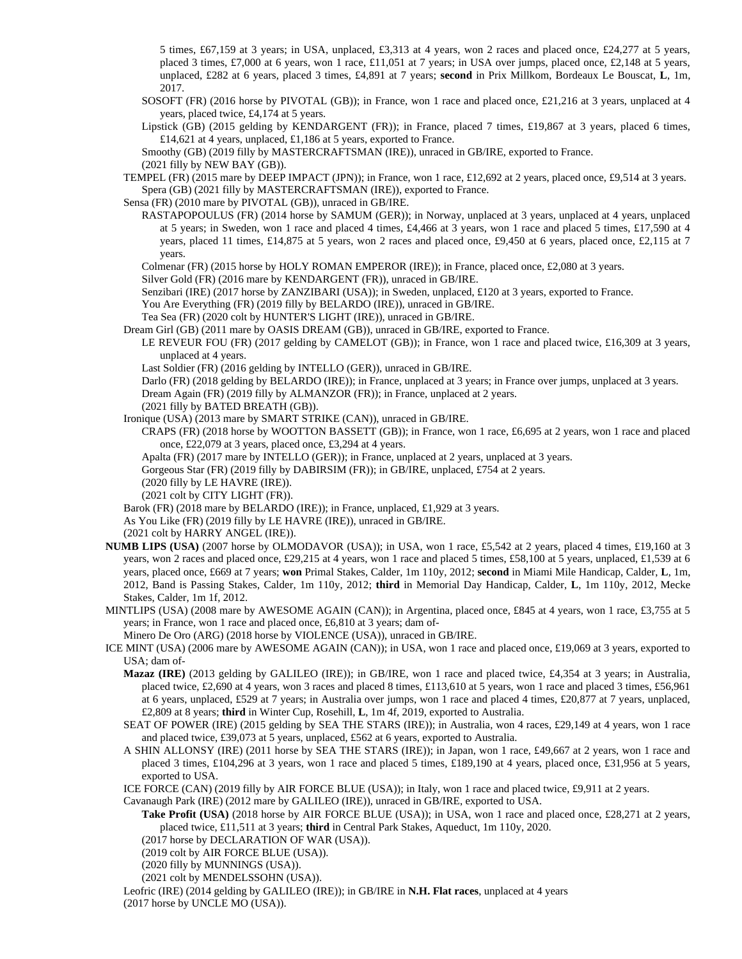5 times, £67,159 at 3 years; in USA, unplaced, £3,313 at 4 years, won 2 races and placed once, £24,277 at 5 years, placed 3 times, £7,000 at 6 years, won 1 race, £11,051 at 7 years; in USA over jumps, placed once, £2,148 at 5 years, unplaced, £282 at 6 years, placed 3 times, £4,891 at 7 years; **second** in Prix Millkom, Bordeaux Le Bouscat, **L**, 1m, 2017.

SOSOFT (FR) (2016 horse by PIVOTAL (GB)); in France, won 1 race and placed once, £21,216 at 3 years, unplaced at 4 years, placed twice, £4,174 at 5 years.

Lipstick (GB) (2015 gelding by KENDARGENT (FR)); in France, placed 7 times, £19,867 at 3 years, placed 6 times, £14,621 at 4 years, unplaced, £1,186 at 5 years, exported to France.

Smoothy (GB) (2019 filly by MASTERCRAFTSMAN (IRE)), unraced in GB/IRE, exported to France.

(2021 filly by NEW BAY (GB)).

TEMPEL (FR) (2015 mare by DEEP IMPACT (JPN)); in France, won 1 race, £12,692 at 2 years, placed once, £9,514 at 3 years. Spera (GB) (2021 filly by MASTERCRAFTSMAN (IRE)), exported to France.

Sensa (FR) (2010 mare by PIVOTAL (GB)), unraced in GB/IRE.

RASTAPOPOULUS (FR) (2014 horse by SAMUM (GER)); in Norway, unplaced at 3 years, unplaced at 4 years, unplaced at 5 years; in Sweden, won 1 race and placed 4 times, £4,466 at 3 years, won 1 race and placed 5 times, £17,590 at 4 years, placed 11 times, £14,875 at 5 years, won 2 races and placed once, £9,450 at 6 years, placed once, £2,115 at 7 years.

Colmenar (FR) (2015 horse by HOLY ROMAN EMPEROR (IRE)); in France, placed once, £2,080 at 3 years.

Silver Gold (FR) (2016 mare by KENDARGENT (FR)), unraced in GB/IRE.

Senzibari (IRE) (2017 horse by ZANZIBARI (USA)); in Sweden, unplaced, £120 at 3 years, exported to France.

You Are Everything (FR) (2019 filly by BELARDO (IRE)), unraced in GB/IRE.

Tea Sea (FR) (2020 colt by HUNTER'S LIGHT (IRE)), unraced in GB/IRE.

Dream Girl (GB) (2011 mare by OASIS DREAM (GB)), unraced in GB/IRE, exported to France.

LE REVEUR FOU (FR) (2017 gelding by CAMELOT (GB)); in France, won 1 race and placed twice, £16,309 at 3 years, unplaced at 4 years.

Last Soldier (FR) (2016 gelding by INTELLO (GER)), unraced in GB/IRE.

Darlo (FR) (2018 gelding by BELARDO (IRE)); in France, unplaced at 3 years; in France over jumps, unplaced at 3 years. Dream Again (FR) (2019 filly by ALMANZOR (FR)); in France, unplaced at 2 years.

(2021 filly by BATED BREATH (GB)).

Ironique (USA) (2013 mare by SMART STRIKE (CAN)), unraced in GB/IRE.

CRAPS (FR) (2018 horse by WOOTTON BASSETT (GB)); in France, won 1 race, £6,695 at 2 years, won 1 race and placed once, £22,079 at 3 years, placed once, £3,294 at 4 years.

Apalta (FR) (2017 mare by INTELLO (GER)); in France, unplaced at 2 years, unplaced at 3 years.

Gorgeous Star (FR) (2019 filly by DABIRSIM (FR)); in GB/IRE, unplaced, £754 at 2 years.

(2020 filly by LE HAVRE (IRE)).

(2021 colt by CITY LIGHT (FR)).

Barok (FR) (2018 mare by BELARDO (IRE)); in France, unplaced, £1,929 at 3 years.

As You Like (FR) (2019 filly by LE HAVRE (IRE)), unraced in GB/IRE.

(2021 colt by HARRY ANGEL (IRE)).

**NUMB LIPS (USA)** (2007 horse by OLMODAVOR (USA)); in USA, won 1 race, £5,542 at 2 years, placed 4 times, £19,160 at 3 years, won 2 races and placed once, £29,215 at 4 years, won 1 race and placed 5 times, £58,100 at 5 years, unplaced, £1,539 at 6 years, placed once, £669 at 7 years; **won** Primal Stakes, Calder, 1m 110y, 2012; **second** in Miami Mile Handicap, Calder, **L**, 1m, 2012, Band is Passing Stakes, Calder, 1m 110y, 2012; **third** in Memorial Day Handicap, Calder, **L**, 1m 110y, 2012, Mecke Stakes, Calder, 1m 1f, 2012.

MINTLIPS (USA) (2008 mare by AWESOME AGAIN (CAN)); in Argentina, placed once, £845 at 4 years, won 1 race, £3,755 at 5 years; in France, won 1 race and placed once, £6,810 at 3 years; dam of-

Minero De Oro (ARG) (2018 horse by VIOLENCE (USA)), unraced in GB/IRE.

- ICE MINT (USA) (2006 mare by AWESOME AGAIN (CAN)); in USA, won 1 race and placed once, £19,069 at 3 years, exported to USA; dam of-
	- **Mazaz (IRE)** (2013 gelding by GALILEO (IRE)); in GB/IRE, won 1 race and placed twice, £4,354 at 3 years; in Australia, placed twice, £2,690 at 4 years, won 3 races and placed 8 times, £113,610 at 5 years, won 1 race and placed 3 times, £56,961 at 6 years, unplaced, £529 at 7 years; in Australia over jumps, won 1 race and placed 4 times, £20,877 at 7 years, unplaced, £2,809 at 8 years; **third** in Winter Cup, Rosehill, **L**, 1m 4f, 2019, exported to Australia.

SEAT OF POWER (IRE) (2015 gelding by SEA THE STARS (IRE)); in Australia, won 4 races, £29,149 at 4 years, won 1 race and placed twice, £39,073 at 5 years, unplaced, £562 at 6 years, exported to Australia.

A SHIN ALLONSY (IRE) (2011 horse by SEA THE STARS (IRE)); in Japan, won 1 race, £49,667 at 2 years, won 1 race and placed 3 times, £104,296 at 3 years, won 1 race and placed 5 times, £189,190 at 4 years, placed once, £31,956 at 5 years, exported to USA.

ICE FORCE (CAN) (2019 filly by AIR FORCE BLUE (USA)); in Italy, won 1 race and placed twice, £9,911 at 2 years.

Cavanaugh Park (IRE) (2012 mare by GALILEO (IRE)), unraced in GB/IRE, exported to USA.

**Take Profit (USA)** (2018 horse by AIR FORCE BLUE (USA)); in USA, won 1 race and placed once, £28,271 at 2 years, placed twice, £11,511 at 3 years; **third** in Central Park Stakes, Aqueduct, 1m 110y, 2020.

(2017 horse by DECLARATION OF WAR (USA)).

(2019 colt by AIR FORCE BLUE (USA)).

(2020 filly by MUNNINGS (USA)).

(2021 colt by MENDELSSOHN (USA)).

Leofric (IRE) (2014 gelding by GALILEO (IRE)); in GB/IRE in **N.H. Flat races**, unplaced at 4 years (2017 horse by UNCLE MO (USA)).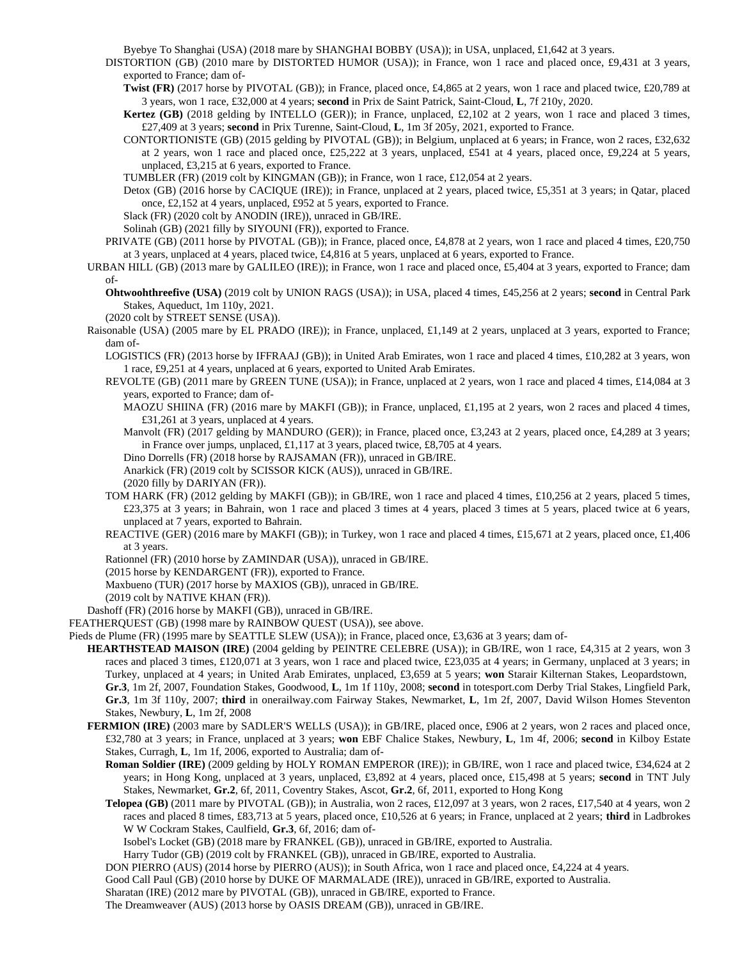Byebye To Shanghai (USA) (2018 mare by SHANGHAI BOBBY (USA)); in USA, unplaced, £1,642 at 3 years.

DISTORTION (GB) (2010 mare by DISTORTED HUMOR (USA)); in France, won 1 race and placed once, £9,431 at 3 years, exported to France; dam of-

**Twist (FR)** (2017 horse by PIVOTAL (GB)); in France, placed once, £4,865 at 2 years, won 1 race and placed twice, £20,789 at 3 years, won 1 race, £32,000 at 4 years; **second** in Prix de Saint Patrick, Saint-Cloud, **L**, 7f 210y, 2020.

**Kertez (GB)** (2018 gelding by INTELLO (GER)); in France, unplaced, £2,102 at 2 years, won 1 race and placed 3 times, £27,409 at 3 years; **second** in Prix Turenne, Saint-Cloud, **L**, 1m 3f 205y, 2021, exported to France.

CONTORTIONISTE (GB) (2015 gelding by PIVOTAL (GB)); in Belgium, unplaced at 6 years; in France, won 2 races, £32,632 at 2 years, won 1 race and placed once, £25,222 at 3 years, unplaced, £541 at 4 years, placed once, £9,224 at 5 years, unplaced, £3,215 at 6 years, exported to France.

TUMBLER (FR) (2019 colt by KINGMAN (GB)); in France, won 1 race, £12,054 at 2 years.

Detox (GB) (2016 horse by CACIQUE (IRE)); in France, unplaced at 2 years, placed twice, £5,351 at 3 years; in Qatar, placed once, £2,152 at 4 years, unplaced, £952 at 5 years, exported to France.

Slack (FR) (2020 colt by ANODIN (IRE)), unraced in GB/IRE.

Solinah (GB) (2021 filly by SIYOUNI (FR)), exported to France.

- PRIVATE (GB) (2011 horse by PIVOTAL (GB)); in France, placed once, £4,878 at 2 years, won 1 race and placed 4 times, £20,750 at 3 years, unplaced at 4 years, placed twice, £4,816 at 5 years, unplaced at 6 years, exported to France.
- URBAN HILL (GB) (2013 mare by GALILEO (IRE)); in France, won 1 race and placed once, £5,404 at 3 years, exported to France; dam of-
	- **Ohtwoohthreefive (USA)** (2019 colt by UNION RAGS (USA)); in USA, placed 4 times, £45,256 at 2 years; **second** in Central Park Stakes, Aqueduct, 1m 110y, 2021.
	- (2020 colt by STREET SENSE (USA)).
- Raisonable (USA) (2005 mare by EL PRADO (IRE)); in France, unplaced, £1,149 at 2 years, unplaced at 3 years, exported to France; dam of-
	- LOGISTICS (FR) (2013 horse by IFFRAAJ (GB)); in United Arab Emirates, won 1 race and placed 4 times, £10,282 at 3 years, won 1 race, £9,251 at 4 years, unplaced at 6 years, exported to United Arab Emirates.
	- REVOLTE (GB) (2011 mare by GREEN TUNE (USA)); in France, unplaced at 2 years, won 1 race and placed 4 times, £14,084 at 3 years, exported to France; dam of-
		- MAOZU SHIINA (FR) (2016 mare by MAKFI (GB)); in France, unplaced, £1,195 at 2 years, won 2 races and placed 4 times, £31,261 at 3 years, unplaced at 4 years.
		- Manvolt (FR) (2017 gelding by MANDURO (GER)); in France, placed once, £3,243 at 2 years, placed once, £4,289 at 3 years; in France over jumps, unplaced, £1,117 at 3 years, placed twice, £8,705 at 4 years.
		- Dino Dorrells (FR) (2018 horse by RAJSAMAN (FR)), unraced in GB/IRE.
		- Anarkick (FR) (2019 colt by SCISSOR KICK (AUS)), unraced in GB/IRE.

(2020 filly by DARIYAN (FR)).

- TOM HARK (FR) (2012 gelding by MAKFI (GB)); in GB/IRE, won 1 race and placed 4 times, £10,256 at 2 years, placed 5 times, £23,375 at 3 years; in Bahrain, won 1 race and placed 3 times at 4 years, placed 3 times at 5 years, placed twice at 6 years, unplaced at 7 years, exported to Bahrain.
- REACTIVE (GER) (2016 mare by MAKFI (GB)); in Turkey, won 1 race and placed 4 times, £15,671 at 2 years, placed once, £1,406 at 3 years.

Rationnel (FR) (2010 horse by ZAMINDAR (USA)), unraced in GB/IRE.

- (2015 horse by KENDARGENT (FR)), exported to France.
- Maxbueno (TUR) (2017 horse by MAXIOS (GB)), unraced in GB/IRE.
- (2019 colt by NATIVE KHAN (FR)).

Dashoff (FR) (2016 horse by MAKFI (GB)), unraced in GB/IRE.

FEATHERQUEST (GB) (1998 mare by RAINBOW QUEST (USA)), see above.

- Pieds de Plume (FR) (1995 mare by SEATTLE SLEW (USA)); in France, placed once, £3,636 at 3 years; dam of-
	- **HEARTHSTEAD MAISON (IRE)** (2004 gelding by PEINTRE CELEBRE (USA)); in GB/IRE, won 1 race, £4,315 at 2 years, won 3 races and placed 3 times, £120,071 at 3 years, won 1 race and placed twice, £23,035 at 4 years; in Germany, unplaced at 3 years; in Turkey, unplaced at 4 years; in United Arab Emirates, unplaced, £3,659 at 5 years; **won** Starair Kilternan Stakes, Leopardstown, **Gr.3**, 1m 2f, 2007, Foundation Stakes, Goodwood, **L**, 1m 1f 110y, 2008; **second** in totesport.com Derby Trial Stakes, Lingfield Park, **Gr.3**, 1m 3f 110y, 2007; **third** in onerailway.com Fairway Stakes, Newmarket, **L**, 1m 2f, 2007, David Wilson Homes Steventon Stakes, Newbury, **L**, 1m 2f, 2008
	- **FERMION (IRE)** (2003 mare by SADLER'S WELLS (USA)); in GB/IRE, placed once, £906 at 2 years, won 2 races and placed once, £32,780 at 3 years; in France, unplaced at 3 years; **won** EBF Chalice Stakes, Newbury, **L**, 1m 4f, 2006; **second** in Kilboy Estate Stakes, Curragh, **L**, 1m 1f, 2006, exported to Australia; dam of-
		- **Roman Soldier (IRE)** (2009 gelding by HOLY ROMAN EMPEROR (IRE)); in GB/IRE, won 1 race and placed twice, £34,624 at 2 years; in Hong Kong, unplaced at 3 years, unplaced, £3,892 at 4 years, placed once, £15,498 at 5 years; **second** in TNT July Stakes, Newmarket, **Gr.2**, 6f, 2011, Coventry Stakes, Ascot, **Gr.2**, 6f, 2011, exported to Hong Kong
		- **Telopea (GB)** (2011 mare by PIVOTAL (GB)); in Australia, won 2 races, £12,097 at 3 years, won 2 races, £17,540 at 4 years, won 2 races and placed 8 times, £83,713 at 5 years, placed once, £10,526 at 6 years; in France, unplaced at 2 years; **third** in Ladbrokes W W Cockram Stakes, Caulfield, **Gr.3**, 6f, 2016; dam of-

Isobel's Locket (GB) (2018 mare by FRANKEL (GB)), unraced in GB/IRE, exported to Australia.

Harry Tudor (GB) (2019 colt by FRANKEL (GB)), unraced in GB/IRE, exported to Australia.

DON PIERRO (AUS) (2014 horse by PIERRO (AUS)); in South Africa, won 1 race and placed once, £4,224 at 4 years.

Good Call Paul (GB) (2010 horse by DUKE OF MARMALADE (IRE)), unraced in GB/IRE, exported to Australia.

Sharatan (IRE) (2012 mare by PIVOTAL (GB)), unraced in GB/IRE, exported to France.

The Dreamweaver (AUS) (2013 horse by OASIS DREAM (GB)), unraced in GB/IRE.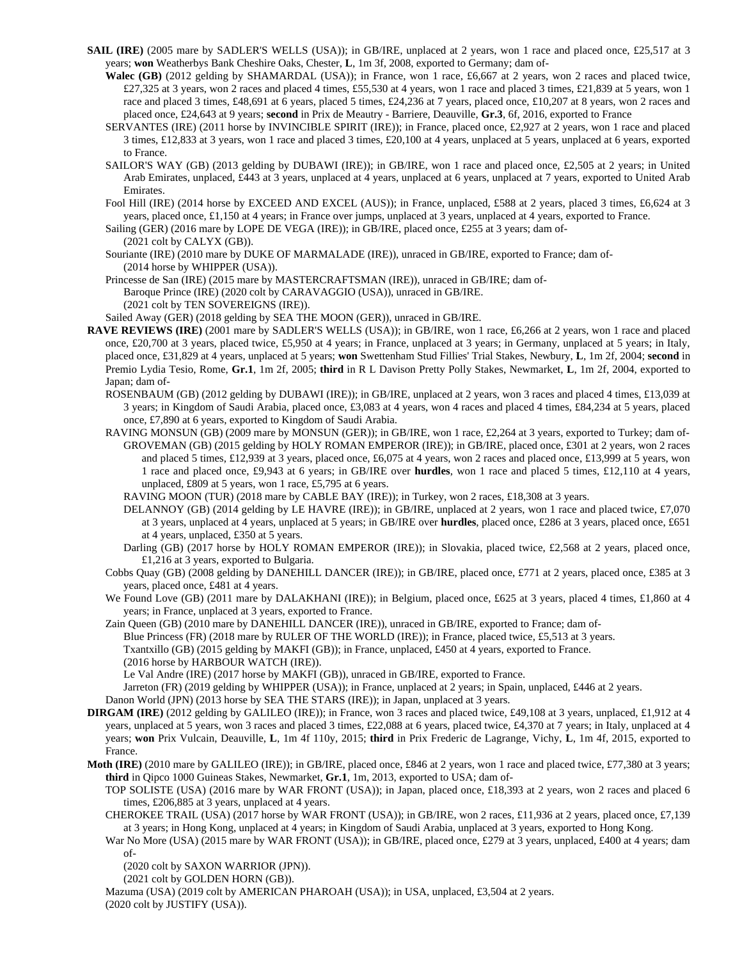- **SAIL (IRE)** (2005 mare by SADLER'S WELLS (USA)); in GB/IRE, unplaced at 2 years, won 1 race and placed once, £25,517 at 3 years; **won** Weatherbys Bank Cheshire Oaks, Chester, **L**, 1m 3f, 2008, exported to Germany; dam of-
	- **Walec (GB)** (2012 gelding by SHAMARDAL (USA)); in France, won 1 race, £6,667 at 2 years, won 2 races and placed twice, £27,325 at 3 years, won 2 races and placed 4 times, £55,530 at 4 years, won 1 race and placed 3 times, £21,839 at 5 years, won 1 race and placed 3 times, £48,691 at 6 years, placed 5 times, £24,236 at 7 years, placed once, £10,207 at 8 years, won 2 races and placed once, £24,643 at 9 years; **second** in Prix de Meautry - Barriere, Deauville, **Gr.3**, 6f, 2016, exported to France
	- SERVANTES (IRE) (2011 horse by INVINCIBLE SPIRIT (IRE)); in France, placed once, £2,927 at 2 years, won 1 race and placed 3 times, £12,833 at 3 years, won 1 race and placed 3 times, £20,100 at 4 years, unplaced at 5 years, unplaced at 6 years, exported to France.
	- SAILOR'S WAY (GB) (2013 gelding by DUBAWI (IRE)); in GB/IRE, won 1 race and placed once, £2,505 at 2 years; in United Arab Emirates, unplaced, £443 at 3 years, unplaced at 4 years, unplaced at 6 years, unplaced at 7 years, exported to United Arab Emirates.
	- Fool Hill (IRE) (2014 horse by EXCEED AND EXCEL (AUS)); in France, unplaced, £588 at 2 years, placed 3 times, £6,624 at 3 years, placed once, £1,150 at 4 years; in France over jumps, unplaced at 3 years, unplaced at 4 years, exported to France.
	- Sailing (GER) (2016 mare by LOPE DE VEGA (IRE)); in GB/IRE, placed once, £255 at 3 years; dam of-
	- (2021 colt by CALYX (GB)).
	- Souriante (IRE) (2010 mare by DUKE OF MARMALADE (IRE)), unraced in GB/IRE, exported to France; dam of- (2014 horse by WHIPPER (USA)).
	- Princesse de San (IRE) (2015 mare by MASTERCRAFTSMAN (IRE)), unraced in GB/IRE; dam of-Baroque Prince (IRE) (2020 colt by CARAVAGGIO (USA)), unraced in GB/IRE. (2021 colt by TEN SOVEREIGNS (IRE)).
	- Sailed Away (GER) (2018 gelding by SEA THE MOON (GER)), unraced in GB/IRE.
- **RAVE REVIEWS (IRE)** (2001 mare by SADLER'S WELLS (USA)); in GB/IRE, won 1 race, £6,266 at 2 years, won 1 race and placed once, £20,700 at 3 years, placed twice, £5,950 at 4 years; in France, unplaced at 3 years; in Germany, unplaced at 5 years; in Italy, placed once, £31,829 at 4 years, unplaced at 5 years; **won** Swettenham Stud Fillies' Trial Stakes, Newbury, **L**, 1m 2f, 2004; **second** in Premio Lydia Tesio, Rome, **Gr.1**, 1m 2f, 2005; **third** in R L Davison Pretty Polly Stakes, Newmarket, **L**, 1m 2f, 2004, exported to Japan; dam of-
	- ROSENBAUM (GB) (2012 gelding by DUBAWI (IRE)); in GB/IRE, unplaced at 2 years, won 3 races and placed 4 times, £13,039 at 3 years; in Kingdom of Saudi Arabia, placed once, £3,083 at 4 years, won 4 races and placed 4 times, £84,234 at 5 years, placed once, £7,890 at 6 years, exported to Kingdom of Saudi Arabia.
	- RAVING MONSUN (GB) (2009 mare by MONSUN (GER)); in GB/IRE, won 1 race, £2,264 at 3 years, exported to Turkey; dam of-GROVEMAN (GB) (2015 gelding by HOLY ROMAN EMPEROR (IRE)); in GB/IRE, placed once, £301 at 2 years, won 2 races and placed 5 times, £12,939 at 3 years, placed once, £6,075 at 4 years, won 2 races and placed once, £13,999 at 5 years, won 1 race and placed once, £9,943 at 6 years; in GB/IRE over **hurdles**, won 1 race and placed 5 times, £12,110 at 4 years, unplaced, £809 at 5 years, won 1 race, £5,795 at 6 years.
		- RAVING MOON (TUR) (2018 mare by CABLE BAY (IRE)); in Turkey, won 2 races, £18,308 at 3 years.
		- DELANNOY (GB) (2014 gelding by LE HAVRE (IRE)); in GB/IRE, unplaced at 2 years, won 1 race and placed twice, £7,070 at 3 years, unplaced at 4 years, unplaced at 5 years; in GB/IRE over **hurdles**, placed once, £286 at 3 years, placed once, £651 at 4 years, unplaced, £350 at 5 years.
		- Darling (GB) (2017 horse by HOLY ROMAN EMPEROR (IRE)); in Slovakia, placed twice, £2,568 at 2 years, placed once, £1,216 at 3 years, exported to Bulgaria.
	- Cobbs Quay (GB) (2008 gelding by DANEHILL DANCER (IRE)); in GB/IRE, placed once, £771 at 2 years, placed once, £385 at 3 years, placed once, £481 at 4 years.
	- We Found Love (GB) (2011 mare by DALAKHANI (IRE)); in Belgium, placed once, £625 at 3 years, placed 4 times, £1,860 at 4 years; in France, unplaced at 3 years, exported to France.
	- Zain Queen (GB) (2010 mare by DANEHILL DANCER (IRE)), unraced in GB/IRE, exported to France; dam of-Blue Princess (FR) (2018 mare by RULER OF THE WORLD (IRE)); in France, placed twice, £5,513 at 3 years. Txantxillo (GB) (2015 gelding by MAKFI (GB)); in France, unplaced, £450 at 4 years, exported to France. (2016 horse by HARBOUR WATCH (IRE)).
		- Le Val Andre (IRE) (2017 horse by MAKFI (GB)), unraced in GB/IRE, exported to France.

Jarreton (FR) (2019 gelding by WHIPPER (USA)); in France, unplaced at 2 years; in Spain, unplaced, £446 at 2 years.

- Danon World (JPN) (2013 horse by SEA THE STARS (IRE)); in Japan, unplaced at 3 years.
- **DIRGAM (IRE)** (2012 gelding by GALILEO (IRE)); in France, won 3 races and placed twice, £49,108 at 3 years, unplaced, £1,912 at 4 years, unplaced at 5 years, won 3 races and placed 3 times, £22,088 at 6 years, placed twice, £4,370 at 7 years; in Italy, unplaced at 4 years; **won** Prix Vulcain, Deauville, **L**, 1m 4f 110y, 2015; **third** in Prix Frederic de Lagrange, Vichy, **L**, 1m 4f, 2015, exported to France.
- **Moth (IRE)** (2010 mare by GALILEO (IRE)); in GB/IRE, placed once, £846 at 2 years, won 1 race and placed twice, £77,380 at 3 years; **third** in Qipco 1000 Guineas Stakes, Newmarket, **Gr.1**, 1m, 2013, exported to USA; dam of-
	- TOP SOLISTE (USA) (2016 mare by WAR FRONT (USA)); in Japan, placed once, £18,393 at 2 years, won 2 races and placed 6 times, £206,885 at 3 years, unplaced at 4 years.
	- CHEROKEE TRAIL (USA) (2017 horse by WAR FRONT (USA)); in GB/IRE, won 2 races, £11,936 at 2 years, placed once, £7,139 at 3 years; in Hong Kong, unplaced at 4 years; in Kingdom of Saudi Arabia, unplaced at 3 years, exported to Hong Kong.
	- War No More (USA) (2015 mare by WAR FRONT (USA)); in GB/IRE, placed once, £279 at 3 years, unplaced, £400 at 4 years; dam of-

(2020 colt by SAXON WARRIOR (JPN)).

(2021 colt by GOLDEN HORN (GB)).

Mazuma (USA) (2019 colt by AMERICAN PHAROAH (USA)); in USA, unplaced, £3,504 at 2 years. (2020 colt by JUSTIFY (USA)).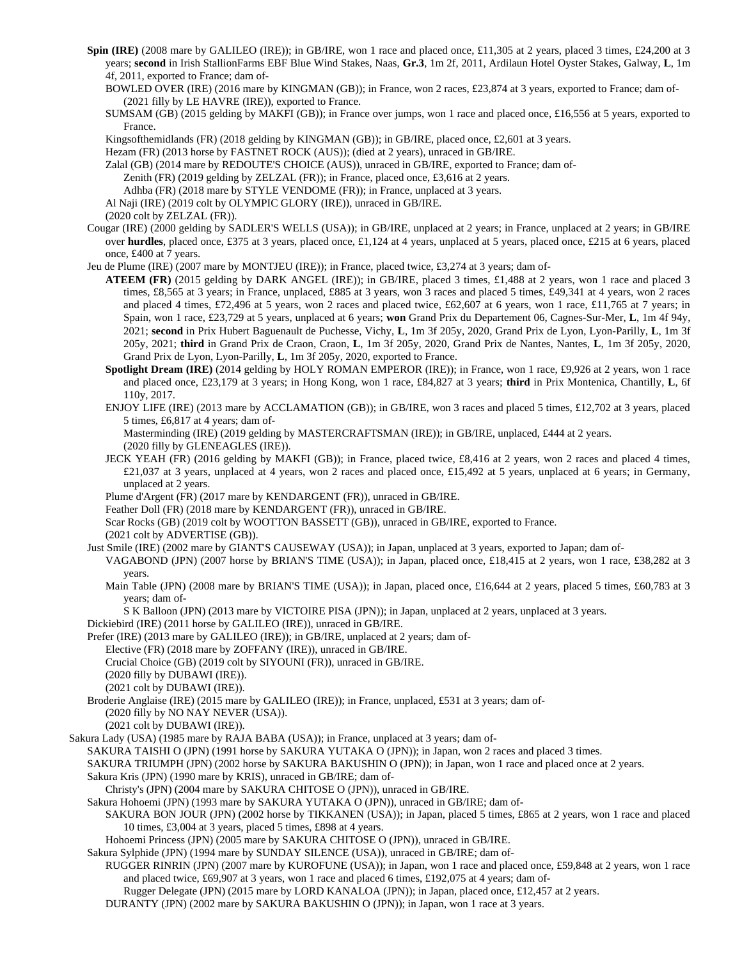- **Spin (IRE)** (2008 mare by GALILEO (IRE)); in GB/IRE, won 1 race and placed once, £11,305 at 2 years, placed 3 times, £24,200 at 3 years; **second** in Irish StallionFarms EBF Blue Wind Stakes, Naas, **Gr.3**, 1m 2f, 2011, Ardilaun Hotel Oyster Stakes, Galway, **L**, 1m 4f, 2011, exported to France; dam of-
	- BOWLED OVER (IRE) (2016 mare by KINGMAN (GB)); in France, won 2 races, £23,874 at 3 years, exported to France; dam of- (2021 filly by LE HAVRE (IRE)), exported to France.

SUMSAM (GB) (2015 gelding by MAKFI (GB)); in France over jumps, won 1 race and placed once, £16,556 at 5 years, exported to France.

Kingsofthemidlands (FR) (2018 gelding by KINGMAN (GB)); in GB/IRE, placed once, £2,601 at 3 years.

Hezam (FR) (2013 horse by FASTNET ROCK (AUS)); (died at 2 years), unraced in GB/IRE.

Zalal (GB) (2014 mare by REDOUTE'S CHOICE (AUS)), unraced in GB/IRE, exported to France; dam of-

Zenith (FR) (2019 gelding by ZELZAL (FR)); in France, placed once, £3,616 at 2 years.

Adhba (FR) (2018 mare by STYLE VENDOME (FR)); in France, unplaced at 3 years.

Al Naji (IRE) (2019 colt by OLYMPIC GLORY (IRE)), unraced in GB/IRE.

(2020 colt by ZELZAL (FR)).

Cougar (IRE) (2000 gelding by SADLER'S WELLS (USA)); in GB/IRE, unplaced at 2 years; in France, unplaced at 2 years; in GB/IRE over **hurdles**, placed once, £375 at 3 years, placed once, £1,124 at 4 years, unplaced at 5 years, placed once, £215 at 6 years, placed once, £400 at 7 years.

Jeu de Plume (IRE) (2007 mare by MONTJEU (IRE)); in France, placed twice, £3,274 at 3 years; dam of-

- **ATEEM (FR)** (2015 gelding by DARK ANGEL (IRE)); in GB/IRE, placed 3 times, £1,488 at 2 years, won 1 race and placed 3 times, £8,565 at 3 years; in France, unplaced, £885 at 3 years, won 3 races and placed 5 times, £49,341 at 4 years, won 2 races and placed 4 times, £72,496 at 5 years, won 2 races and placed twice, £62,607 at 6 years, won 1 race, £11,765 at 7 years; in Spain, won 1 race, £23,729 at 5 years, unplaced at 6 years; **won** Grand Prix du Departement 06, Cagnes-Sur-Mer, **L**, 1m 4f 94y, 2021; **second** in Prix Hubert Baguenault de Puchesse, Vichy, **L**, 1m 3f 205y, 2020, Grand Prix de Lyon, Lyon-Parilly, **L**, 1m 3f 205y, 2021; **third** in Grand Prix de Craon, Craon, **L**, 1m 3f 205y, 2020, Grand Prix de Nantes, Nantes, **L**, 1m 3f 205y, 2020, Grand Prix de Lyon, Lyon-Parilly, **L**, 1m 3f 205y, 2020, exported to France.
- **Spotlight Dream (IRE)** (2014 gelding by HOLY ROMAN EMPEROR (IRE)); in France, won 1 race, £9,926 at 2 years, won 1 race and placed once, £23,179 at 3 years; in Hong Kong, won 1 race, £84,827 at 3 years; **third** in Prix Montenica, Chantilly, **L**, 6f 110y, 2017.
- ENJOY LIFE (IRE) (2013 mare by ACCLAMATION (GB)); in GB/IRE, won 3 races and placed 5 times, £12,702 at 3 years, placed 5 times, £6,817 at 4 years; dam of-

Masterminding (IRE) (2019 gelding by MASTERCRAFTSMAN (IRE)); in GB/IRE, unplaced, £444 at 2 years. (2020 filly by GLENEAGLES (IRE)).

- JECK YEAH (FR) (2016 gelding by MAKFI (GB)); in France, placed twice, £8,416 at 2 years, won 2 races and placed 4 times, £21,037 at 3 years, unplaced at 4 years, won 2 races and placed once, £15,492 at 5 years, unplaced at 6 years; in Germany, unplaced at 2 years.
- Plume d'Argent (FR) (2017 mare by KENDARGENT (FR)), unraced in GB/IRE.

Feather Doll (FR) (2018 mare by KENDARGENT (FR)), unraced in GB/IRE.

Scar Rocks (GB) (2019 colt by WOOTTON BASSETT (GB)), unraced in GB/IRE, exported to France.

(2021 colt by ADVERTISE (GB)).

Just Smile (IRE) (2002 mare by GIANT'S CAUSEWAY (USA)); in Japan, unplaced at 3 years, exported to Japan; dam of-

- VAGABOND (JPN) (2007 horse by BRIAN'S TIME (USA)); in Japan, placed once, £18,415 at 2 years, won 1 race, £38,282 at 3 years.
- Main Table (JPN) (2008 mare by BRIAN'S TIME (USA)); in Japan, placed once, £16,644 at 2 years, placed 5 times, £60,783 at 3 years; dam of-

S K Balloon (JPN) (2013 mare by VICTOIRE PISA (JPN)); in Japan, unplaced at 2 years, unplaced at 3 years.

Dickiebird (IRE) (2011 horse by GALILEO (IRE)), unraced in GB/IRE.

Prefer (IRE) (2013 mare by GALILEO (IRE)); in GB/IRE, unplaced at 2 years; dam of-

Elective (FR) (2018 mare by ZOFFANY (IRE)), unraced in GB/IRE.

Crucial Choice (GB) (2019 colt by SIYOUNI (FR)), unraced in GB/IRE.

(2020 filly by DUBAWI (IRE)).

(2021 colt by DUBAWI (IRE)).

Broderie Anglaise (IRE) (2015 mare by GALILEO (IRE)); in France, unplaced, £531 at 3 years; dam of- (2020 filly by NO NAY NEVER (USA)).

(2021 colt by DUBAWI (IRE)).

Sakura Lady (USA) (1985 mare by RAJA BABA (USA)); in France, unplaced at 3 years; dam of-

SAKURA TAISHI O (JPN) (1991 horse by SAKURA YUTAKA O (JPN)); in Japan, won 2 races and placed 3 times.

SAKURA TRIUMPH (JPN) (2002 horse by SAKURA BAKUSHIN O (JPN)); in Japan, won 1 race and placed once at 2 years.

Sakura Kris (JPN) (1990 mare by KRIS), unraced in GB/IRE; dam of-

Christy's (JPN) (2004 mare by SAKURA CHITOSE O (JPN)), unraced in GB/IRE.

Sakura Hohoemi (JPN) (1993 mare by SAKURA YUTAKA O (JPN)), unraced in GB/IRE; dam of-

SAKURA BON JOUR (JPN) (2002 horse by TIKKANEN (USA)); in Japan, placed 5 times, £865 at 2 years, won 1 race and placed 10 times, £3,004 at 3 years, placed 5 times, £898 at 4 years.

Hohoemi Princess (JPN) (2005 mare by SAKURA CHITOSE O (JPN)), unraced in GB/IRE.

Sakura Sylphide (JPN) (1994 mare by SUNDAY SILENCE (USA)), unraced in GB/IRE; dam of-

RUGGER RINRIN (JPN) (2007 mare by KUROFUNE (USA)); in Japan, won 1 race and placed once, £59,848 at 2 years, won 1 race and placed twice, £69,907 at 3 years, won 1 race and placed 6 times, £192,075 at 4 years; dam of-

Rugger Delegate (JPN) (2015 mare by LORD KANALOA (JPN)); in Japan, placed once, £12,457 at 2 years.

DURANTY (JPN) (2002 mare by SAKURA BAKUSHIN O (JPN)); in Japan, won 1 race at 3 years.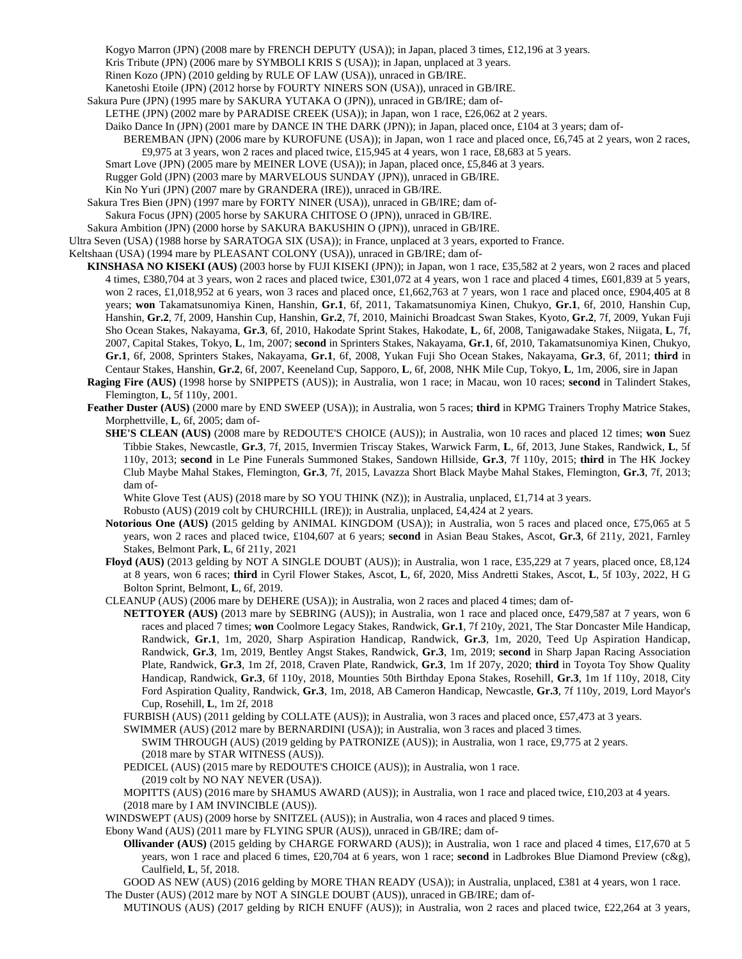Kogyo Marron (JPN) (2008 mare by FRENCH DEPUTY (USA)); in Japan, placed 3 times, £12,196 at 3 years.

Kris Tribute (JPN) (2006 mare by SYMBOLI KRIS S (USA)); in Japan, unplaced at 3 years.

- Rinen Kozo (JPN) (2010 gelding by RULE OF LAW (USA)), unraced in GB/IRE.
- Kanetoshi Etoile (JPN) (2012 horse by FOURTY NINERS SON (USA)), unraced in GB/IRE.
- Sakura Pure (JPN) (1995 mare by SAKURA YUTAKA O (JPN)), unraced in GB/IRE; dam of-

LETHE (JPN) (2002 mare by PARADISE CREEK (USA)); in Japan, won 1 race, £26,062 at 2 years.

- Daiko Dance In (JPN) (2001 mare by DANCE IN THE DARK (JPN)); in Japan, placed once, £104 at 3 years; dam of-
	- BEREMBAN (JPN) (2006 mare by KUROFUNE (USA)); in Japan, won 1 race and placed once, £6,745 at 2 years, won 2 races, £9,975 at 3 years, won 2 races and placed twice, £15,945 at 4 years, won 1 race, £8,683 at 5 years.
- Smart Love (JPN) (2005 mare by MEINER LOVE (USA)); in Japan, placed once, £5,846 at 3 years.
- Rugger Gold (JPN) (2003 mare by MARVELOUS SUNDAY (JPN)), unraced in GB/IRE.
- Kin No Yuri (JPN) (2007 mare by GRANDERA (IRE)), unraced in GB/IRE.
- Sakura Tres Bien (JPN) (1997 mare by FORTY NINER (USA)), unraced in GB/IRE; dam of-
- Sakura Focus (JPN) (2005 horse by SAKURA CHITOSE O (JPN)), unraced in GB/IRE.
- Sakura Ambition (JPN) (2000 horse by SAKURA BAKUSHIN O (JPN)), unraced in GB/IRE.

Ultra Seven (USA) (1988 horse by SARATOGA SIX (USA)); in France, unplaced at 3 years, exported to France.

- Keltshaan (USA) (1994 mare by PLEASANT COLONY (USA)), unraced in GB/IRE; dam of-
	- **KINSHASA NO KISEKI (AUS)** (2003 horse by FUJI KISEKI (JPN)); in Japan, won 1 race, £35,582 at 2 years, won 2 races and placed 4 times, £380,704 at 3 years, won 2 races and placed twice, £301,072 at 4 years, won 1 race and placed 4 times, £601,839 at 5 years, won 2 races, £1,018,952 at 6 years, won 3 races and placed once, £1,662,763 at 7 years, won 1 race and placed once, £904,405 at 8 years; **won** Takamatsunomiya Kinen, Hanshin, **Gr.1**, 6f, 2011, Takamatsunomiya Kinen, Chukyo, **Gr.1**, 6f, 2010, Hanshin Cup, Hanshin, **Gr.2**, 7f, 2009, Hanshin Cup, Hanshin, **Gr.2**, 7f, 2010, Mainichi Broadcast Swan Stakes, Kyoto, **Gr.2**, 7f, 2009, Yukan Fuji Sho Ocean Stakes, Nakayama, **Gr.3**, 6f, 2010, Hakodate Sprint Stakes, Hakodate, **L**, 6f, 2008, Tanigawadake Stakes, Niigata, **L**, 7f, 2007, Capital Stakes, Tokyo, **L**, 1m, 2007; **second** in Sprinters Stakes, Nakayama, **Gr.1**, 6f, 2010, Takamatsunomiya Kinen, Chukyo, **Gr.1**, 6f, 2008, Sprinters Stakes, Nakayama, **Gr.1**, 6f, 2008, Yukan Fuji Sho Ocean Stakes, Nakayama, **Gr.3**, 6f, 2011; **third** in Centaur Stakes, Hanshin, **Gr.2**, 6f, 2007, Keeneland Cup, Sapporo, **L**, 6f, 2008, NHK Mile Cup, Tokyo, **L**, 1m, 2006, sire in Japan
	- **Raging Fire (AUS)** (1998 horse by SNIPPETS (AUS)); in Australia, won 1 race; in Macau, won 10 races; **second** in Talindert Stakes, Flemington, **L**, 5f 110y, 2001.
	- **Feather Duster (AUS)** (2000 mare by END SWEEP (USA)); in Australia, won 5 races; **third** in KPMG Trainers Trophy Matrice Stakes, Morphettville, **L**, 6f, 2005; dam of-
		- **SHE'S CLEAN (AUS)** (2008 mare by REDOUTE'S CHOICE (AUS)); in Australia, won 10 races and placed 12 times; **won** Suez Tibbie Stakes, Newcastle, **Gr.3**, 7f, 2015, Invermien Triscay Stakes, Warwick Farm, **L**, 6f, 2013, June Stakes, Randwick, **L**, 5f 110y, 2013; **second** in Le Pine Funerals Summoned Stakes, Sandown Hillside, **Gr.3**, 7f 110y, 2015; **third** in The HK Jockey Club Maybe Mahal Stakes, Flemington, **Gr.3**, 7f, 2015, Lavazza Short Black Maybe Mahal Stakes, Flemington, **Gr.3**, 7f, 2013; dam of-

White Glove Test (AUS) (2018 mare by SO YOU THINK (NZ)); in Australia, unplaced, £1,714 at 3 years.

Robusto (AUS) (2019 colt by CHURCHILL (IRE)); in Australia, unplaced, £4,424 at 2 years.

- **Notorious One (AUS)** (2015 gelding by ANIMAL KINGDOM (USA)); in Australia, won 5 races and placed once, £75,065 at 5 years, won 2 races and placed twice, £104,607 at 6 years; **second** in Asian Beau Stakes, Ascot, **Gr.3**, 6f 211y, 2021, Farnley Stakes, Belmont Park, **L**, 6f 211y, 2021
- **Floyd (AUS)** (2013 gelding by NOT A SINGLE DOUBT (AUS)); in Australia, won 1 race, £35,229 at 7 years, placed once, £8,124 at 8 years, won 6 races; **third** in Cyril Flower Stakes, Ascot, **L**, 6f, 2020, Miss Andretti Stakes, Ascot, **L**, 5f 103y, 2022, H G Bolton Sprint, Belmont, **L**, 6f, 2019.
- CLEANUP (AUS) (2006 mare by DEHERE (USA)); in Australia, won 2 races and placed 4 times; dam of-
	- **NETTOYER (AUS)** (2013 mare by SEBRING (AUS)); in Australia, won 1 race and placed once, £479,587 at 7 years, won 6 races and placed 7 times; **won** Coolmore Legacy Stakes, Randwick, **Gr.1**, 7f 210y, 2021, The Star Doncaster Mile Handicap, Randwick, **Gr.1**, 1m, 2020, Sharp Aspiration Handicap, Randwick, **Gr.3**, 1m, 2020, Teed Up Aspiration Handicap, Randwick, **Gr.3**, 1m, 2019, Bentley Angst Stakes, Randwick, **Gr.3**, 1m, 2019; **second** in Sharp Japan Racing Association Plate, Randwick, **Gr.3**, 1m 2f, 2018, Craven Plate, Randwick, **Gr.3**, 1m 1f 207y, 2020; **third** in Toyota Toy Show Quality Handicap, Randwick, **Gr.3**, 6f 110y, 2018, Mounties 50th Birthday Epona Stakes, Rosehill, **Gr.3**, 1m 1f 110y, 2018, City Ford Aspiration Quality, Randwick, **Gr.3**, 1m, 2018, AB Cameron Handicap, Newcastle, **Gr.3**, 7f 110y, 2019, Lord Mayor's Cup, Rosehill, **L**, 1m 2f, 2018
	- FURBISH (AUS) (2011 gelding by COLLATE (AUS)); in Australia, won 3 races and placed once, £57,473 at 3 years.

SWIMMER (AUS) (2012 mare by BERNARDINI (USA)); in Australia, won 3 races and placed 3 times.

SWIM THROUGH (AUS) (2019 gelding by PATRONIZE (AUS)); in Australia, won 1 race, £9,775 at 2 years. (2018 mare by STAR WITNESS (AUS)).

PEDICEL (AUS) (2015 mare by REDOUTE'S CHOICE (AUS)); in Australia, won 1 race.

(2019 colt by NO NAY NEVER (USA)).

MOPITTS (AUS) (2016 mare by SHAMUS AWARD (AUS)); in Australia, won 1 race and placed twice, £10,203 at 4 years. (2018 mare by I AM INVINCIBLE (AUS)).

- WINDSWEPT (AUS) (2009 horse by SNITZEL (AUS)); in Australia, won 4 races and placed 9 times.
- Ebony Wand (AUS) (2011 mare by FLYING SPUR (AUS)), unraced in GB/IRE; dam of-
	- **Ollivander (AUS)** (2015 gelding by CHARGE FORWARD (AUS)); in Australia, won 1 race and placed 4 times, £17,670 at 5 years, won 1 race and placed 6 times, £20,704 at 6 years, won 1 race; **second** in Ladbrokes Blue Diamond Preview (c&g), Caulfield, **L**, 5f, 2018.

GOOD AS NEW (AUS) (2016 gelding by MORE THAN READY (USA)); in Australia, unplaced, £381 at 4 years, won 1 race. The Duster (AUS) (2012 mare by NOT A SINGLE DOUBT (AUS)), unraced in GB/IRE; dam of-

MUTINOUS (AUS) (2017 gelding by RICH ENUFF (AUS)); in Australia, won 2 races and placed twice, £22,264 at 3 years,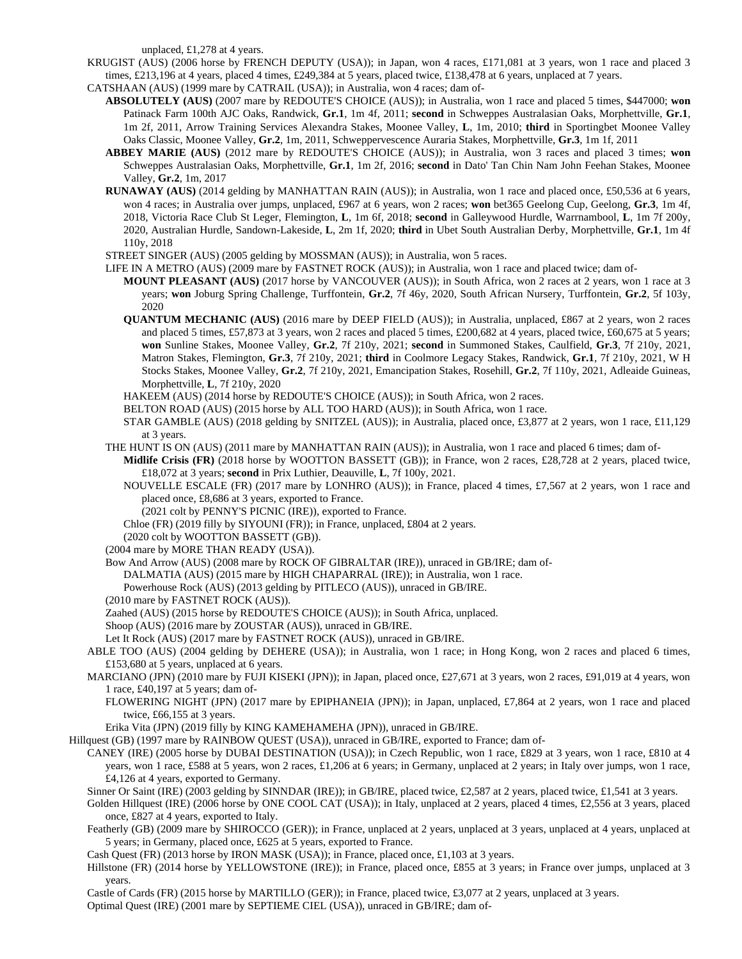unplaced, £1,278 at 4 years.

KRUGIST (AUS) (2006 horse by FRENCH DEPUTY (USA)); in Japan, won 4 races, £171,081 at 3 years, won 1 race and placed 3 times, £213,196 at 4 years, placed 4 times, £249,384 at 5 years, placed twice, £138,478 at 6 years, unplaced at 7 years.

- CATSHAAN (AUS) (1999 mare by CATRAIL (USA)); in Australia, won 4 races; dam of-
	- **ABSOLUTELY (AUS)** (2007 mare by REDOUTE'S CHOICE (AUS)); in Australia, won 1 race and placed 5 times, \$447000; **won** Patinack Farm 100th AJC Oaks, Randwick, **Gr.1**, 1m 4f, 2011; **second** in Schweppes Australasian Oaks, Morphettville, **Gr.1**, 1m 2f, 2011, Arrow Training Services Alexandra Stakes, Moonee Valley, **L**, 1m, 2010; **third** in Sportingbet Moonee Valley Oaks Classic, Moonee Valley, **Gr.2**, 1m, 2011, Schweppervescence Auraria Stakes, Morphettville, **Gr.3**, 1m 1f, 2011
	- **ABBEY MARIE (AUS)** (2012 mare by REDOUTE'S CHOICE (AUS)); in Australia, won 3 races and placed 3 times; **won** Schweppes Australasian Oaks, Morphettville, **Gr.1**, 1m 2f, 2016; **second** in Dato' Tan Chin Nam John Feehan Stakes, Moonee Valley, **Gr.2**, 1m, 2017
	- **RUNAWAY (AUS)** (2014 gelding by MANHATTAN RAIN (AUS)); in Australia, won 1 race and placed once, £50,536 at 6 years, won 4 races; in Australia over jumps, unplaced, £967 at 6 years, won 2 races; **won** bet365 Geelong Cup, Geelong, **Gr.3**, 1m 4f, 2018, Victoria Race Club St Leger, Flemington, **L**, 1m 6f, 2018; **second** in Galleywood Hurdle, Warrnambool, **L**, 1m 7f 200y, 2020, Australian Hurdle, Sandown-Lakeside, **L**, 2m 1f, 2020; **third** in Ubet South Australian Derby, Morphettville, **Gr.1**, 1m 4f 110y, 2018

STREET SINGER (AUS) (2005 gelding by MOSSMAN (AUS)); in Australia, won 5 races.

LIFE IN A METRO (AUS) (2009 mare by FASTNET ROCK (AUS)); in Australia, won 1 race and placed twice; dam of-

- **MOUNT PLEASANT (AUS)** (2017 horse by VANCOUVER (AUS)); in South Africa, won 2 races at 2 years, won 1 race at 3 years; **won** Joburg Spring Challenge, Turffontein, **Gr.2**, 7f 46y, 2020, South African Nursery, Turffontein, **Gr.2**, 5f 103y, 2020
- **QUANTUM MECHANIC (AUS)** (2016 mare by DEEP FIELD (AUS)); in Australia, unplaced, £867 at 2 years, won 2 races and placed 5 times, £57,873 at 3 years, won 2 races and placed 5 times, £200,682 at 4 years, placed twice, £60,675 at 5 years; **won** Sunline Stakes, Moonee Valley, **Gr.2**, 7f 210y, 2021; **second** in Summoned Stakes, Caulfield, **Gr.3**, 7f 210y, 2021, Matron Stakes, Flemington, **Gr.3**, 7f 210y, 2021; **third** in Coolmore Legacy Stakes, Randwick, **Gr.1**, 7f 210y, 2021, W H Stocks Stakes, Moonee Valley, **Gr.2**, 7f 210y, 2021, Emancipation Stakes, Rosehill, **Gr.2**, 7f 110y, 2021, Adleaide Guineas, Morphettville, **L**, 7f 210y, 2020

HAKEEM (AUS) (2014 horse by REDOUTE'S CHOICE (AUS)); in South Africa, won 2 races.

- BELTON ROAD (AUS) (2015 horse by ALL TOO HARD (AUS)); in South Africa, won 1 race.
- STAR GAMBLE (AUS) (2018 gelding by SNITZEL (AUS)); in Australia, placed once, £3,877 at 2 years, won 1 race, £11,129 at 3 years.
- THE HUNT IS ON (AUS) (2011 mare by MANHATTAN RAIN (AUS)); in Australia, won 1 race and placed 6 times; dam of-
	- **Midlife Crisis (FR)** (2018 horse by WOOTTON BASSETT (GB)); in France, won 2 races, £28,728 at 2 years, placed twice, £18,072 at 3 years; **second** in Prix Luthier, Deauville, **L**, 7f 100y, 2021.
	- NOUVELLE ESCALE (FR) (2017 mare by LONHRO (AUS)); in France, placed 4 times, £7,567 at 2 years, won 1 race and placed once, £8,686 at 3 years, exported to France.
		- (2021 colt by PENNY'S PICNIC (IRE)), exported to France.
	- Chloe (FR) (2019 filly by SIYOUNI (FR)); in France, unplaced, £804 at 2 years.

(2020 colt by WOOTTON BASSETT (GB)).

(2004 mare by MORE THAN READY (USA)).

Bow And Arrow (AUS) (2008 mare by ROCK OF GIBRALTAR (IRE)), unraced in GB/IRE; dam of-

DALMATIA (AUS) (2015 mare by HIGH CHAPARRAL (IRE)); in Australia, won 1 race.

- Powerhouse Rock (AUS) (2013 gelding by PITLECO (AUS)), unraced in GB/IRE.
- (2010 mare by FASTNET ROCK (AUS)).

Zaahed (AUS) (2015 horse by REDOUTE'S CHOICE (AUS)); in South Africa, unplaced.

Shoop (AUS) (2016 mare by ZOUSTAR (AUS)), unraced in GB/IRE.

Let It Rock (AUS) (2017 mare by FASTNET ROCK (AUS)), unraced in GB/IRE.

ABLE TOO (AUS) (2004 gelding by DEHERE (USA)); in Australia, won 1 race; in Hong Kong, won 2 races and placed 6 times, £153,680 at 5 years, unplaced at 6 years.

MARCIANO (JPN) (2010 mare by FUJI KISEKI (JPN)); in Japan, placed once, £27,671 at 3 years, won 2 races, £91,019 at 4 years, won 1 race, £40,197 at 5 years; dam of-

FLOWERING NIGHT (JPN) (2017 mare by EPIPHANEIA (JPN)); in Japan, unplaced, £7,864 at 2 years, won 1 race and placed twice, £66,155 at 3 years.

Erika Vita (JPN) (2019 filly by KING KAMEHAMEHA (JPN)), unraced in GB/IRE.

Hillquest (GB) (1997 mare by RAINBOW QUEST (USA)), unraced in GB/IRE, exported to France; dam of-

CANEY (IRE) (2005 horse by DUBAI DESTINATION (USA)); in Czech Republic, won 1 race, £829 at 3 years, won 1 race, £810 at 4 years, won 1 race, £588 at 5 years, won 2 races, £1,206 at 6 years; in Germany, unplaced at 2 years; in Italy over jumps, won 1 race, £4,126 at 4 years, exported to Germany.

Sinner Or Saint (IRE) (2003 gelding by SINNDAR (IRE)); in GB/IRE, placed twice, £2,587 at 2 years, placed twice, £1,541 at 3 years.

Golden Hillquest (IRE) (2006 horse by ONE COOL CAT (USA)); in Italy, unplaced at 2 years, placed 4 times, £2,556 at 3 years, placed once, £827 at 4 years, exported to Italy.

- Featherly (GB) (2009 mare by SHIROCCO (GER)); in France, unplaced at 2 years, unplaced at 3 years, unplaced at 4 years, unplaced at 5 years; in Germany, placed once, £625 at 5 years, exported to France.
- Cash Quest (FR) (2013 horse by IRON MASK (USA)); in France, placed once, £1,103 at 3 years.
- Hillstone (FR) (2014 horse by YELLOWSTONE (IRE)); in France, placed once, £855 at 3 years; in France over jumps, unplaced at 3 years.

Castle of Cards (FR) (2015 horse by MARTILLO (GER)); in France, placed twice, £3,077 at 2 years, unplaced at 3 years.

Optimal Quest (IRE) (2001 mare by SEPTIEME CIEL (USA)), unraced in GB/IRE; dam of-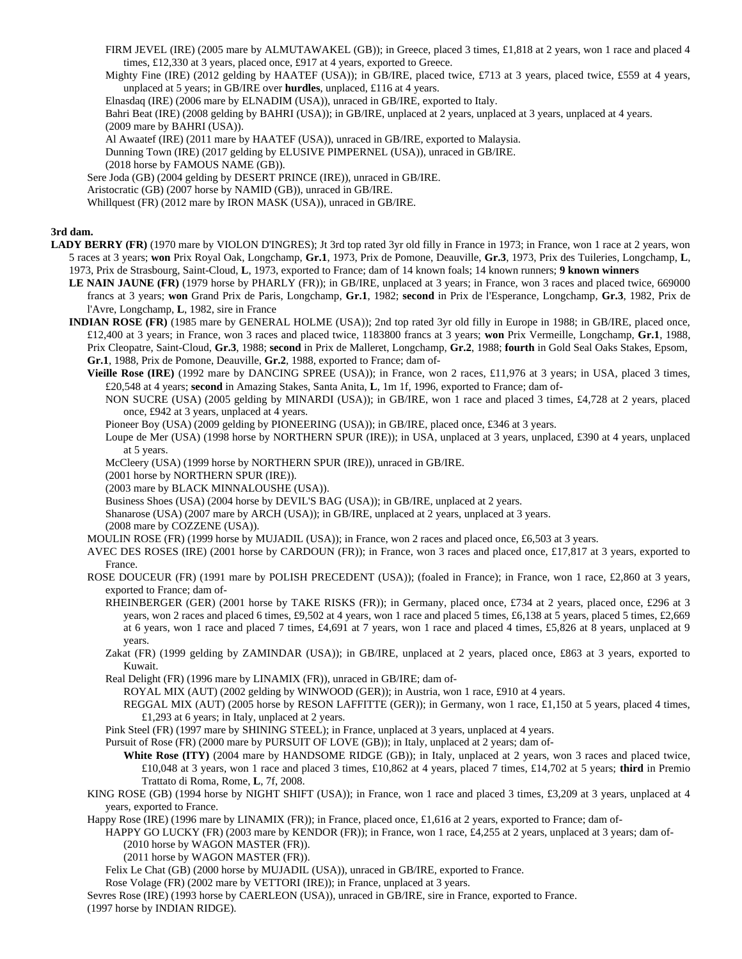FIRM JEVEL (IRE) (2005 mare by ALMUTAWAKEL (GB)); in Greece, placed 3 times, £1,818 at 2 years, won 1 race and placed 4 times, £12,330 at 3 years, placed once, £917 at 4 years, exported to Greece.

Mighty Fine (IRE) (2012 gelding by HAATEF (USA)); in GB/IRE, placed twice, £713 at 3 years, placed twice, £559 at 4 years, unplaced at 5 years; in GB/IRE over **hurdles**, unplaced, £116 at 4 years.

Elnasdaq (IRE) (2006 mare by ELNADIM (USA)), unraced in GB/IRE, exported to Italy.

Bahri Beat (IRE) (2008 gelding by BAHRI (USA)); in GB/IRE, unplaced at 2 years, unplaced at 3 years, unplaced at 4 years.

(2009 mare by BAHRI (USA)).

Al Awaatef (IRE) (2011 mare by HAATEF (USA)), unraced in GB/IRE, exported to Malaysia.

Dunning Town (IRE) (2017 gelding by ELUSIVE PIMPERNEL (USA)), unraced in GB/IRE.

(2018 horse by FAMOUS NAME (GB)).

Sere Joda (GB) (2004 gelding by DESERT PRINCE (IRE)), unraced in GB/IRE.

Aristocratic (GB) (2007 horse by NAMID (GB)), unraced in GB/IRE.

Whillquest (FR) (2012 mare by IRON MASK (USA)), unraced in GB/IRE.

## **3rd dam.**

- LADY BERRY (FR) (1970 mare by VIOLON D'INGRES); Jt 3rd top rated 3yr old filly in France in 1973; in France, won 1 race at 2 years, won 5 races at 3 years; **won** Prix Royal Oak, Longchamp, **Gr.1**, 1973, Prix de Pomone, Deauville, **Gr.3**, 1973, Prix des Tuileries, Longchamp, **L**, 1973, Prix de Strasbourg, Saint-Cloud, **L**, 1973, exported to France; dam of 14 known foals; 14 known runners; **9 known winners**
	- **LE NAIN JAUNE (FR)** (1979 horse by PHARLY (FR)); in GB/IRE, unplaced at 3 years; in France, won 3 races and placed twice, 669000 francs at 3 years; **won** Grand Prix de Paris, Longchamp, **Gr.1**, 1982; **second** in Prix de l'Esperance, Longchamp, **Gr.3**, 1982, Prix de l'Avre, Longchamp, **L**, 1982, sire in France
	- **INDIAN ROSE (FR)** (1985 mare by GENERAL HOLME (USA)); 2nd top rated 3yr old filly in Europe in 1988; in GB/IRE, placed once, £12,400 at 3 years; in France, won 3 races and placed twice, 1183800 francs at 3 years; **won** Prix Vermeille, Longchamp, **Gr.1**, 1988, Prix Cleopatre, Saint-Cloud, **Gr.3**, 1988; **second** in Prix de Malleret, Longchamp, **Gr.2**, 1988; **fourth** in Gold Seal Oaks Stakes, Epsom, **Gr.1**, 1988, Prix de Pomone, Deauville, **Gr.2**, 1988, exported to France; dam of-
		- **Vieille Rose (IRE)** (1992 mare by DANCING SPREE (USA)); in France, won 2 races, £11,976 at 3 years; in USA, placed 3 times, £20,548 at 4 years; **second** in Amazing Stakes, Santa Anita, **L**, 1m 1f, 1996, exported to France; dam of-
			- NON SUCRE (USA) (2005 gelding by MINARDI (USA)); in GB/IRE, won 1 race and placed 3 times, £4,728 at 2 years, placed once, £942 at 3 years, unplaced at 4 years.

Pioneer Boy (USA) (2009 gelding by PIONEERING (USA)); in GB/IRE, placed once, £346 at 3 years.

Loupe de Mer (USA) (1998 horse by NORTHERN SPUR (IRE)); in USA, unplaced at 3 years, unplaced, £390 at 4 years, unplaced at 5 years.

McCleery (USA) (1999 horse by NORTHERN SPUR (IRE)), unraced in GB/IRE.

(2001 horse by NORTHERN SPUR (IRE)).

(2003 mare by BLACK MINNALOUSHE (USA)).

Business Shoes (USA) (2004 horse by DEVIL'S BAG (USA)); in GB/IRE, unplaced at 2 years.

Shanarose (USA) (2007 mare by ARCH (USA)); in GB/IRE, unplaced at 2 years, unplaced at 3 years.

(2008 mare by COZZENE (USA)).

MOULIN ROSE (FR) (1999 horse by MUJADIL (USA)); in France, won 2 races and placed once, £6,503 at 3 years.

AVEC DES ROSES (IRE) (2001 horse by CARDOUN (FR)); in France, won 3 races and placed once, £17,817 at 3 years, exported to France.

- ROSE DOUCEUR (FR) (1991 mare by POLISH PRECEDENT (USA)); (foaled in France); in France, won 1 race, £2,860 at 3 years, exported to France; dam of-
	- RHEINBERGER (GER) (2001 horse by TAKE RISKS (FR)); in Germany, placed once, £734 at 2 years, placed once, £296 at 3 years, won 2 races and placed 6 times, £9,502 at 4 years, won 1 race and placed 5 times, £6,138 at 5 years, placed 5 times, £2,669 at 6 years, won 1 race and placed 7 times, £4,691 at 7 years, won 1 race and placed 4 times, £5,826 at 8 years, unplaced at 9 years.

Zakat (FR) (1999 gelding by ZAMINDAR (USA)); in GB/IRE, unplaced at 2 years, placed once, £863 at 3 years, exported to Kuwait.

Real Delight (FR) (1996 mare by LINAMIX (FR)), unraced in GB/IRE; dam of-

ROYAL MIX (AUT) (2002 gelding by WINWOOD (GER)); in Austria, won 1 race, £910 at 4 years.

REGGAL MIX (AUT) (2005 horse by RESON LAFFITTE (GER)); in Germany, won 1 race, £1,150 at 5 years, placed 4 times, £1,293 at 6 years; in Italy, unplaced at 2 years.

Pink Steel (FR) (1997 mare by SHINING STEEL); in France, unplaced at 3 years, unplaced at 4 years.

Pursuit of Rose (FR) (2000 mare by PURSUIT OF LOVE (GB)); in Italy, unplaced at 2 years; dam of-

White Rose (ITY) (2004 mare by HANDSOME RIDGE (GB)); in Italy, unplaced at 2 years, won 3 races and placed twice, £10,048 at 3 years, won 1 race and placed 3 times, £10,862 at 4 years, placed 7 times, £14,702 at 5 years; **third** in Premio Trattato di Roma, Rome, **L**, 7f, 2008.

KING ROSE (GB) (1994 horse by NIGHT SHIFT (USA)); in France, won 1 race and placed 3 times, £3,209 at 3 years, unplaced at 4 years, exported to France.

Happy Rose (IRE) (1996 mare by LINAMIX (FR)); in France, placed once, £1,616 at 2 years, exported to France; dam of-

HAPPY GO LUCKY (FR) (2003 mare by KENDOR (FR)); in France, won 1 race, £4,255 at 2 years, unplaced at 3 years; dam of- (2010 horse by WAGON MASTER (FR)).

(2011 horse by WAGON MASTER (FR)).

Felix Le Chat (GB) (2000 horse by MUJADIL (USA)), unraced in GB/IRE, exported to France.

Rose Volage (FR) (2002 mare by VETTORI (IRE)); in France, unplaced at 3 years.

Sevres Rose (IRE) (1993 horse by CAERLEON (USA)), unraced in GB/IRE, sire in France, exported to France. (1997 horse by INDIAN RIDGE).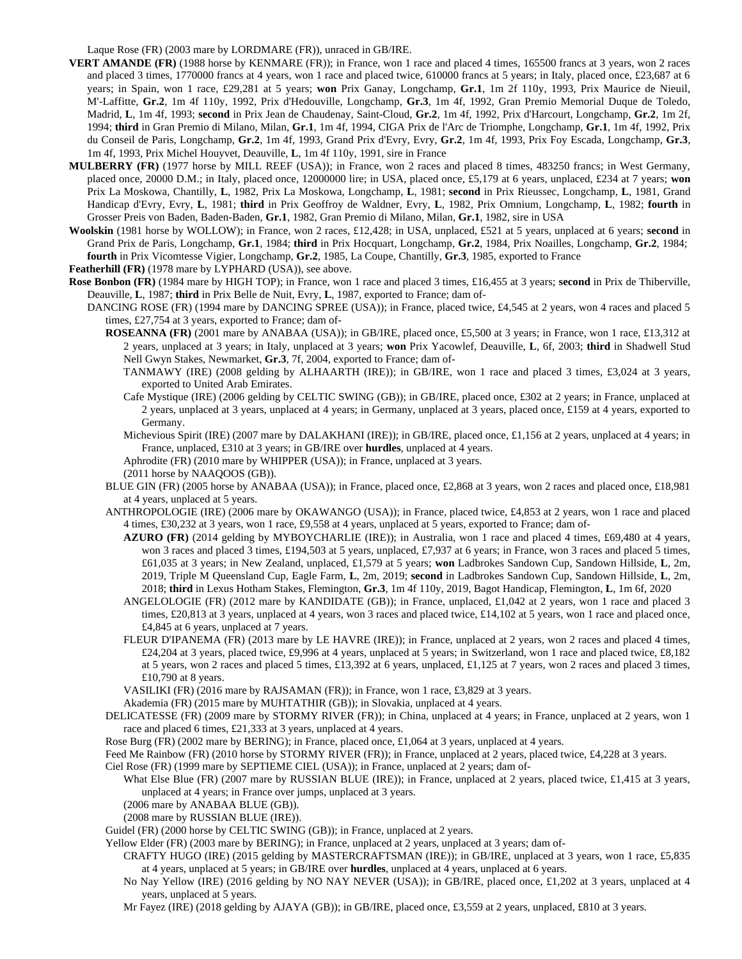Laque Rose (FR) (2003 mare by LORDMARE (FR)), unraced in GB/IRE.

- **VERT AMANDE (FR)** (1988 horse by KENMARE (FR)); in France, won 1 race and placed 4 times, 165500 francs at 3 years, won 2 races and placed 3 times, 1770000 francs at 4 years, won 1 race and placed twice, 610000 francs at 5 years; in Italy, placed once, £23,687 at 6 years; in Spain, won 1 race, £29,281 at 5 years; **won** Prix Ganay, Longchamp, **Gr.1**, 1m 2f 110y, 1993, Prix Maurice de Nieuil, M'-Laffitte, **Gr.2**, 1m 4f 110y, 1992, Prix d'Hedouville, Longchamp, **Gr.3**, 1m 4f, 1992, Gran Premio Memorial Duque de Toledo, Madrid, **L**, 1m 4f, 1993; **second** in Prix Jean de Chaudenay, Saint-Cloud, **Gr.2**, 1m 4f, 1992, Prix d'Harcourt, Longchamp, **Gr.2**, 1m 2f, 1994; **third** in Gran Premio di Milano, Milan, **Gr.1**, 1m 4f, 1994, CIGA Prix de l'Arc de Triomphe, Longchamp, **Gr.1**, 1m 4f, 1992, Prix du Conseil de Paris, Longchamp, **Gr.2**, 1m 4f, 1993, Grand Prix d'Evry, Evry, **Gr.2**, 1m 4f, 1993, Prix Foy Escada, Longchamp, **Gr.3**, 1m 4f, 1993, Prix Michel Houyvet, Deauville, **L**, 1m 4f 110y, 1991, sire in France
- **MULBERRY (FR)** (1977 horse by MILL REEF (USA)); in France, won 2 races and placed 8 times, 483250 francs; in West Germany, placed once, 20000 D.M.; in Italy, placed once, 12000000 lire; in USA, placed once, £5,179 at 6 years, unplaced, £234 at 7 years; **won** Prix La Moskowa, Chantilly, **L**, 1982, Prix La Moskowa, Longchamp, **L**, 1981; **second** in Prix Rieussec, Longchamp, **L**, 1981, Grand Handicap d'Evry, Evry, **L**, 1981; **third** in Prix Geoffroy de Waldner, Evry, **L**, 1982, Prix Omnium, Longchamp, **L**, 1982; **fourth** in Grosser Preis von Baden, Baden-Baden, **Gr.1**, 1982, Gran Premio di Milano, Milan, **Gr.1**, 1982, sire in USA
- **Woolskin** (1981 horse by WOLLOW); in France, won 2 races, £12,428; in USA, unplaced, £521 at 5 years, unplaced at 6 years; **second** in Grand Prix de Paris, Longchamp, **Gr.1**, 1984; **third** in Prix Hocquart, Longchamp, **Gr.2**, 1984, Prix Noailles, Longchamp, **Gr.2**, 1984; **fourth** in Prix Vicomtesse Vigier, Longchamp, **Gr.2**, 1985, La Coupe, Chantilly, **Gr.3**, 1985, exported to France
- **Featherhill (FR)** (1978 mare by LYPHARD (USA)), see above.
- **Rose Bonbon (FR)** (1984 mare by HIGH TOP); in France, won 1 race and placed 3 times, £16,455 at 3 years; **second** in Prix de Thiberville, Deauville, **L**, 1987; **third** in Prix Belle de Nuit, Evry, **L**, 1987, exported to France; dam of-
	- DANCING ROSE (FR) (1994 mare by DANCING SPREE (USA)); in France, placed twice, £4,545 at 2 years, won 4 races and placed 5 times, £27,754 at 3 years, exported to France; dam of-
		- **ROSEANNA (FR)** (2001 mare by ANABAA (USA)); in GB/IRE, placed once, £5,500 at 3 years; in France, won 1 race, £13,312 at 2 years, unplaced at 3 years; in Italy, unplaced at 3 years; **won** Prix Yacowlef, Deauville, **L**, 6f, 2003; **third** in Shadwell Stud Nell Gwyn Stakes, Newmarket, **Gr.3**, 7f, 2004, exported to France; dam of-
			- TANMAWY (IRE) (2008 gelding by ALHAARTH (IRE)); in GB/IRE, won 1 race and placed 3 times, £3,024 at 3 years, exported to United Arab Emirates.
			- Cafe Mystique (IRE) (2006 gelding by CELTIC SWING (GB)); in GB/IRE, placed once, £302 at 2 years; in France, unplaced at 2 years, unplaced at 3 years, unplaced at 4 years; in Germany, unplaced at 3 years, placed once, £159 at 4 years, exported to Germany.
			- Michevious Spirit (IRE) (2007 mare by DALAKHANI (IRE)); in GB/IRE, placed once, £1,156 at 2 years, unplaced at 4 years; in France, unplaced, £310 at 3 years; in GB/IRE over **hurdles**, unplaced at 4 years.
			- Aphrodite (FR) (2010 mare by WHIPPER (USA)); in France, unplaced at 3 years.
			- (2011 horse by NAAQOOS (GB)).
		- BLUE GIN (FR) (2005 horse by ANABAA (USA)); in France, placed once, £2,868 at 3 years, won 2 races and placed once, £18,981 at 4 years, unplaced at 5 years.
		- ANTHROPOLOGIE (IRE) (2006 mare by OKAWANGO (USA)); in France, placed twice, £4,853 at 2 years, won 1 race and placed 4 times, £30,232 at 3 years, won 1 race, £9,558 at 4 years, unplaced at 5 years, exported to France; dam of-
			- **AZURO (FR)** (2014 gelding by MYBOYCHARLIE (IRE)); in Australia, won 1 race and placed 4 times, £69,480 at 4 years, won 3 races and placed 3 times, £194,503 at 5 years, unplaced, £7,937 at 6 years; in France, won 3 races and placed 5 times, £61,035 at 3 years; in New Zealand, unplaced, £1,579 at 5 years; **won** Ladbrokes Sandown Cup, Sandown Hillside, **L**, 2m, 2019, Triple M Queensland Cup, Eagle Farm, **L**, 2m, 2019; **second** in Ladbrokes Sandown Cup, Sandown Hillside, **L**, 2m, 2018; **third** in Lexus Hotham Stakes, Flemington, **Gr.3**, 1m 4f 110y, 2019, Bagot Handicap, Flemington, **L**, 1m 6f, 2020
			- ANGELOLOGIE (FR) (2012 mare by KANDIDATE (GB)); in France, unplaced, £1,042 at 2 years, won 1 race and placed 3 times, £20,813 at 3 years, unplaced at 4 years, won 3 races and placed twice, £14,102 at 5 years, won 1 race and placed once, £4,845 at 6 years, unplaced at 7 years.
			- FLEUR D'IPANEMA (FR) (2013 mare by LE HAVRE (IRE)); in France, unplaced at 2 years, won 2 races and placed 4 times, £24,204 at 3 years, placed twice, £9,996 at 4 years, unplaced at 5 years; in Switzerland, won 1 race and placed twice, £8,182 at 5 years, won 2 races and placed 5 times, £13,392 at 6 years, unplaced, £1,125 at 7 years, won 2 races and placed 3 times, £10,790 at 8 years.
			- VASILIKI (FR) (2016 mare by RAJSAMAN (FR)); in France, won 1 race, £3,829 at 3 years.
			- Akademia (FR) (2015 mare by MUHTATHIR (GB)); in Slovakia, unplaced at 4 years.
		- DELICATESSE (FR) (2009 mare by STORMY RIVER (FR)); in China, unplaced at 4 years; in France, unplaced at 2 years, won 1 race and placed 6 times, £21,333 at 3 years, unplaced at 4 years.
		- Rose Burg (FR) (2002 mare by BERING); in France, placed once, £1,064 at 3 years, unplaced at 4 years.
		- Feed Me Rainbow (FR) (2010 horse by STORMY RIVER (FR)); in France, unplaced at 2 years, placed twice, £4,228 at 3 years.
		- Ciel Rose (FR) (1999 mare by SEPTIEME CIEL (USA)); in France, unplaced at 2 years; dam of-
			- What Else Blue (FR) (2007 mare by RUSSIAN BLUE (IRE)); in France, unplaced at 2 years, placed twice, £1,415 at 3 years, unplaced at 4 years; in France over jumps, unplaced at 3 years.
			- (2006 mare by ANABAA BLUE (GB)).
			- (2008 mare by RUSSIAN BLUE (IRE)).
		- Guidel (FR) (2000 horse by CELTIC SWING (GB)); in France, unplaced at 2 years.
		- Yellow Elder (FR) (2003 mare by BERING); in France, unplaced at 2 years, unplaced at 3 years; dam of-
			- CRAFTY HUGO (IRE) (2015 gelding by MASTERCRAFTSMAN (IRE)); in GB/IRE, unplaced at 3 years, won 1 race, £5,835 at 4 years, unplaced at 5 years; in GB/IRE over **hurdles**, unplaced at 4 years, unplaced at 6 years.
				- No Nay Yellow (IRE) (2016 gelding by NO NAY NEVER (USA)); in GB/IRE, placed once, £1,202 at 3 years, unplaced at 4 years, unplaced at 5 years.
				- Mr Fayez (IRE) (2018 gelding by AJAYA (GB)); in GB/IRE, placed once, £3,559 at 2 years, unplaced, £810 at 3 years.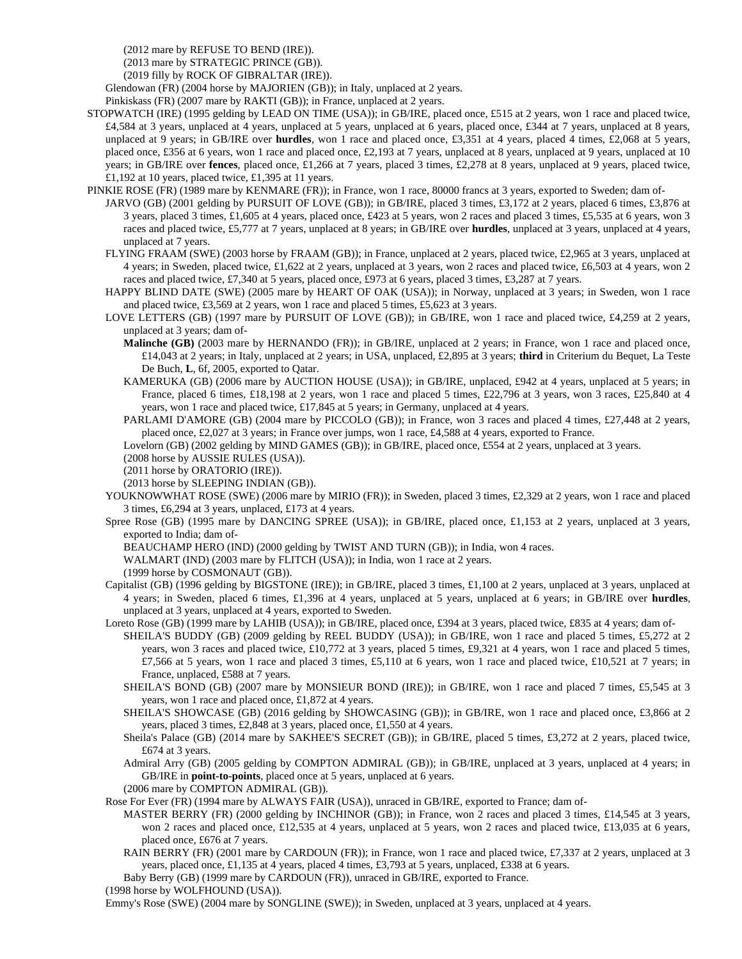(2012 mare by REFUSE TO BEND (IRE)).

(2013 mare by STRATEGIC PRINCE (GB)).

(2019 filly by ROCK OF GIBRALTAR (IRE)).

Glendowan (FR) (2004 horse by MAJORIEN (GB)); in Italy, unplaced at 2 years.

Pinkiskass (FR) (2007 mare by RAKTI (GB)); in France, unplaced at 2 years.

- STOPWATCH (IRE) (1995 gelding by LEAD ON TIME (USA)); in GB/IRE, placed once, £515 at 2 years, won 1 race and placed twice, £4,584 at 3 years, unplaced at 4 years, unplaced at 5 years, unplaced at 6 years, placed once, £344 at 7 years, unplaced at 8 years, unplaced at 9 years; in GB/IRE over **hurdles**, won 1 race and placed once, £3,351 at 4 years, placed 4 times, £2,068 at 5 years, placed once, £356 at 6 years, won 1 race and placed once, £2,193 at 7 years, unplaced at 8 years, unplaced at 9 years, unplaced at 10 years; in GB/IRE over **fences**, placed once, £1,266 at 7 years, placed 3 times, £2,278 at 8 years, unplaced at 9 years, placed twice, £1,192 at 10 years, placed twice, £1,395 at 11 years.
- PINKIE ROSE (FR) (1989 mare by KENMARE (FR)); in France, won 1 race, 80000 francs at 3 years, exported to Sweden; dam of-
- JARVO (GB) (2001 gelding by PURSUIT OF LOVE (GB)); in GB/IRE, placed 3 times, £3,172 at 2 years, placed 6 times, £3,876 at 3 years, placed 3 times, £1,605 at 4 years, placed once, £423 at 5 years, won 2 races and placed 3 times, £5,535 at 6 years, won 3 races and placed twice, £5,777 at 7 years, unplaced at 8 years; in GB/IRE over **hurdles**, unplaced at 3 years, unplaced at 4 years, unplaced at 7 years.
	- FLYING FRAAM (SWE) (2003 horse by FRAAM (GB)); in France, unplaced at 2 years, placed twice, £2,965 at 3 years, unplaced at 4 years; in Sweden, placed twice, £1,622 at 2 years, unplaced at 3 years, won 2 races and placed twice, £6,503 at 4 years, won 2 races and placed twice, £7,340 at 5 years, placed once, £973 at 6 years, placed 3 times, £3,287 at 7 years.
	- HAPPY BLIND DATE (SWE) (2005 mare by HEART OF OAK (USA)); in Norway, unplaced at 3 years; in Sweden, won 1 race and placed twice, £3,569 at 2 years, won 1 race and placed 5 times, £5,623 at 3 years.
	- LOVE LETTERS (GB) (1997 mare by PURSUIT OF LOVE (GB)); in GB/IRE, won 1 race and placed twice, £4,259 at 2 years, unplaced at 3 years; dam of-
		- **Malinche (GB)** (2003 mare by HERNANDO (FR)); in GB/IRE, unplaced at 2 years; in France, won 1 race and placed once, £14,043 at 2 years; in Italy, unplaced at 2 years; in USA, unplaced, £2,895 at 3 years; **third** in Criterium du Bequet, La Teste De Buch, **L**, 6f, 2005, exported to Qatar.
		- KAMERUKA (GB) (2006 mare by AUCTION HOUSE (USA)); in GB/IRE, unplaced, £942 at 4 years, unplaced at 5 years; in France, placed 6 times, £18,198 at 2 years, won 1 race and placed 5 times, £22,796 at 3 years, won 3 races, £25,840 at 4 years, won 1 race and placed twice, £17,845 at 5 years; in Germany, unplaced at 4 years.
		- PARLAMI D'AMORE (GB) (2004 mare by PICCOLO (GB)); in France, won 3 races and placed 4 times, £27,448 at 2 years, placed once, £2,027 at 3 years; in France over jumps, won 1 race, £4,588 at 4 years, exported to France.

Lovelorn (GB) (2002 gelding by MIND GAMES (GB)); in GB/IRE, placed once, £554 at 2 years, unplaced at 3 years.

(2008 horse by AUSSIE RULES (USA)).

(2011 horse by ORATORIO (IRE)).

(2013 horse by SLEEPING INDIAN (GB)).

- YOUKNOWWHAT ROSE (SWE) (2006 mare by MIRIO (FR)); in Sweden, placed 3 times, £2,329 at 2 years, won 1 race and placed 3 times, £6,294 at 3 years, unplaced, £173 at 4 years.
- Spree Rose (GB) (1995 mare by DANCING SPREE (USA)); in GB/IRE, placed once, £1,153 at 2 years, unplaced at 3 years, exported to India; dam of-

BEAUCHAMP HERO (IND) (2000 gelding by TWIST AND TURN (GB)); in India, won 4 races.

WALMART (IND) (2003 mare by FLITCH (USA)); in India, won 1 race at 2 years.

(1999 horse by COSMONAUT (GB)).

- Capitalist (GB) (1996 gelding by BIGSTONE (IRE)); in GB/IRE, placed 3 times, £1,100 at 2 years, unplaced at 3 years, unplaced at 4 years; in Sweden, placed 6 times, £1,396 at 4 years, unplaced at 5 years, unplaced at 6 years; in GB/IRE over **hurdles**, unplaced at 3 years, unplaced at 4 years, exported to Sweden.
- Loreto Rose (GB) (1999 mare by LAHIB (USA)); in GB/IRE, placed once, £394 at 3 years, placed twice, £835 at 4 years; dam of-SHEILA'S BUDDY (GB) (2009 gelding by REEL BUDDY (USA)); in GB/IRE, won 1 race and placed 5 times, £5,272 at 2 years, won 3 races and placed twice, £10,772 at 3 years, placed 5 times, £9,321 at 4 years, won 1 race and placed 5 times, £7,566 at 5 years, won 1 race and placed 3 times, £5,110 at 6 years, won 1 race and placed twice, £10,521 at 7 years; in France, unplaced, £588 at 7 years.
	- SHEILA'S BOND (GB) (2007 mare by MONSIEUR BOND (IRE)); in GB/IRE, won 1 race and placed 7 times, £5,545 at 3 years, won 1 race and placed once, £1,872 at 4 years.
	- SHEILA'S SHOWCASE (GB) (2016 gelding by SHOWCASING (GB)); in GB/IRE, won 1 race and placed once, £3,866 at 2 years, placed 3 times, £2,848 at 3 years, placed once, £1,550 at 4 years.
	- Sheila's Palace (GB) (2014 mare by SAKHEE'S SECRET (GB)); in GB/IRE, placed 5 times, £3,272 at 2 years, placed twice, £674 at 3 years.
	- Admiral Arry (GB) (2005 gelding by COMPTON ADMIRAL (GB)); in GB/IRE, unplaced at 3 years, unplaced at 4 years; in GB/IRE in **point-to-points**, placed once at 5 years, unplaced at 6 years.

(2006 mare by COMPTON ADMIRAL (GB)).

Rose For Ever (FR) (1994 mare by ALWAYS FAIR (USA)), unraced in GB/IRE, exported to France; dam of-

- MASTER BERRY (FR) (2000 gelding by INCHINOR (GB)); in France, won 2 races and placed 3 times, £14,545 at 3 years, won 2 races and placed once, £12,535 at 4 years, unplaced at 5 years, won 2 races and placed twice, £13,035 at 6 years, placed once, £676 at 7 years.
- RAIN BERRY (FR) (2001 mare by CARDOUN (FR)); in France, won 1 race and placed twice, £7,337 at 2 years, unplaced at 3 years, placed once, £1,135 at 4 years, placed 4 times, £3,793 at 5 years, unplaced, £338 at 6 years.

Baby Berry (GB) (1999 mare by CARDOUN (FR)), unraced in GB/IRE, exported to France.

(1998 horse by WOLFHOUND (USA)).

Emmy's Rose (SWE) (2004 mare by SONGLINE (SWE)); in Sweden, unplaced at 3 years, unplaced at 4 years.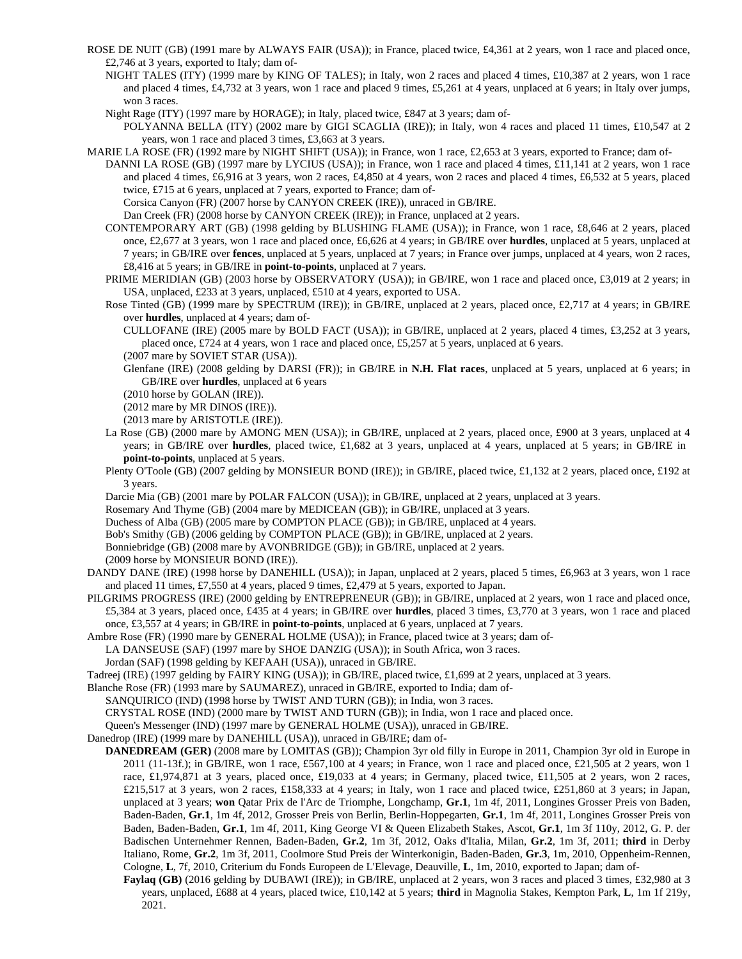- ROSE DE NUIT (GB) (1991 mare by ALWAYS FAIR (USA)); in France, placed twice, £4,361 at 2 years, won 1 race and placed once, £2,746 at 3 years, exported to Italy; dam of-
	- NIGHT TALES (ITY) (1999 mare by KING OF TALES); in Italy, won 2 races and placed 4 times, £10,387 at 2 years, won 1 race and placed 4 times, £4,732 at 3 years, won 1 race and placed 9 times, £5,261 at 4 years, unplaced at 6 years; in Italy over jumps, won 3 races.
	- Night Rage (ITY) (1997 mare by HORAGE); in Italy, placed twice, £847 at 3 years; dam of-

POLYANNA BELLA (ITY) (2002 mare by GIGI SCAGLIA (IRE)); in Italy, won 4 races and placed 11 times, £10,547 at 2 years, won 1 race and placed 3 times, £3,663 at 3 years.

- MARIE LA ROSE (FR) (1992 mare by NIGHT SHIFT (USA)); in France, won 1 race, £2,653 at 3 years, exported to France; dam of-
	- DANNI LA ROSE (GB) (1997 mare by LYCIUS (USA)); in France, won 1 race and placed 4 times, £11,141 at 2 years, won 1 race and placed 4 times, £6,916 at 3 years, won 2 races, £4,850 at 4 years, won 2 races and placed 4 times, £6,532 at 5 years, placed twice, £715 at 6 years, unplaced at 7 years, exported to France; dam of-

Corsica Canyon (FR) (2007 horse by CANYON CREEK (IRE)), unraced in GB/IRE.

Dan Creek (FR) (2008 horse by CANYON CREEK (IRE)); in France, unplaced at 2 years.

- CONTEMPORARY ART (GB) (1998 gelding by BLUSHING FLAME (USA)); in France, won 1 race, £8,646 at 2 years, placed once, £2,677 at 3 years, won 1 race and placed once, £6,626 at 4 years; in GB/IRE over **hurdles**, unplaced at 5 years, unplaced at 7 years; in GB/IRE over **fences**, unplaced at 5 years, unplaced at 7 years; in France over jumps, unplaced at 4 years, won 2 races, £8,416 at 5 years; in GB/IRE in **point-to-points**, unplaced at 7 years.
- PRIME MERIDIAN (GB) (2003 horse by OBSERVATORY (USA)); in GB/IRE, won 1 race and placed once, £3,019 at 2 years; in USA, unplaced, £233 at 3 years, unplaced, £510 at 4 years, exported to USA.
- Rose Tinted (GB) (1999 mare by SPECTRUM (IRE)); in GB/IRE, unplaced at 2 years, placed once, £2,717 at 4 years; in GB/IRE over **hurdles**, unplaced at 4 years; dam of-
	- CULLOFANE (IRE) (2005 mare by BOLD FACT (USA)); in GB/IRE, unplaced at 2 years, placed 4 times, £3,252 at 3 years, placed once, £724 at 4 years, won 1 race and placed once, £5,257 at 5 years, unplaced at 6 years.

- Glenfane (IRE) (2008 gelding by DARSI (FR)); in GB/IRE in **N.H. Flat races**, unplaced at 5 years, unplaced at 6 years; in GB/IRE over **hurdles**, unplaced at 6 years
- (2010 horse by GOLAN (IRE)).

(2012 mare by MR DINOS (IRE)).

- (2013 mare by ARISTOTLE (IRE)).
- La Rose (GB) (2000 mare by AMONG MEN (USA)); in GB/IRE, unplaced at 2 years, placed once, £900 at 3 years, unplaced at 4 years; in GB/IRE over **hurdles**, placed twice, £1,682 at 3 years, unplaced at 4 years, unplaced at 5 years; in GB/IRE in **point-to-points**, unplaced at 5 years.
- Plenty O'Toole (GB) (2007 gelding by MONSIEUR BOND (IRE)); in GB/IRE, placed twice, £1,132 at 2 years, placed once, £192 at 3 years.
- Darcie Mia (GB) (2001 mare by POLAR FALCON (USA)); in GB/IRE, unplaced at 2 years, unplaced at 3 years.

Rosemary And Thyme (GB) (2004 mare by MEDICEAN (GB)); in GB/IRE, unplaced at 3 years.

Duchess of Alba (GB) (2005 mare by COMPTON PLACE (GB)); in GB/IRE, unplaced at 4 years.

Bob's Smithy (GB) (2006 gelding by COMPTON PLACE (GB)); in GB/IRE, unplaced at 2 years.

Bonniebridge (GB) (2008 mare by AVONBRIDGE (GB)); in GB/IRE, unplaced at 2 years.

(2009 horse by MONSIEUR BOND (IRE)).

- DANDY DANE (IRE) (1998 horse by DANEHILL (USA)); in Japan, unplaced at 2 years, placed 5 times, £6,963 at 3 years, won 1 race and placed 11 times, £7,550 at 4 years, placed 9 times, £2,479 at 5 years, exported to Japan.
- PILGRIMS PROGRESS (IRE) (2000 gelding by ENTREPRENEUR (GB)); in GB/IRE, unplaced at 2 years, won 1 race and placed once, £5,384 at 3 years, placed once, £435 at 4 years; in GB/IRE over **hurdles**, placed 3 times, £3,770 at 3 years, won 1 race and placed once, £3,557 at 4 years; in GB/IRE in **point-to-points**, unplaced at 6 years, unplaced at 7 years.

Ambre Rose (FR) (1990 mare by GENERAL HOLME (USA)); in France, placed twice at 3 years; dam of-

LA DANSEUSE (SAF) (1997 mare by SHOE DANZIG (USA)); in South Africa, won 3 races.

Jordan (SAF) (1998 gelding by KEFAAH (USA)), unraced in GB/IRE.

Tadreej (IRE) (1997 gelding by FAIRY KING (USA)); in GB/IRE, placed twice, £1,699 at 2 years, unplaced at 3 years.

Blanche Rose (FR) (1993 mare by SAUMAREZ), unraced in GB/IRE, exported to India; dam of-

SANQUIRICO (IND) (1998 horse by TWIST AND TURN (GB)); in India, won 3 races.

CRYSTAL ROSE (IND) (2000 mare by TWIST AND TURN (GB)); in India, won 1 race and placed once.

Queen's Messenger (IND) (1997 mare by GENERAL HOLME (USA)), unraced in GB/IRE.

- Danedrop (IRE) (1999 mare by DANEHILL (USA)), unraced in GB/IRE; dam of-
	- **DANEDREAM (GER)** (2008 mare by LOMITAS (GB)); Champion 3yr old filly in Europe in 2011, Champion 3yr old in Europe in  $2011$  (11-13f.); in GB/IRE, won 1 race, £567,100 at 4 years; in France, won 1 race and placed once, £21,505 at 2 years, won 1 race, £1,974,871 at 3 years, placed once, £19,033 at 4 years; in Germany, placed twice, £11,505 at 2 years, won 2 races,  $£215,517$  at 3 years, won 2 races,  $£158,333$  at 4 years; in Italy, won 1 race and placed twice,  $£251,860$  at 3 years; in Japan, unplaced at 3 years; **won** Qatar Prix de l'Arc de Triomphe, Longchamp, **Gr.1**, 1m 4f, 2011, Longines Grosser Preis von Baden, Baden-Baden, **Gr.1**, 1m 4f, 2012, Grosser Preis von Berlin, Berlin-Hoppegarten, **Gr.1**, 1m 4f, 2011, Longines Grosser Preis von Baden, Baden-Baden, **Gr.1**, 1m 4f, 2011, King George VI & Queen Elizabeth Stakes, Ascot, **Gr.1**, 1m 3f 110y, 2012, G. P. der Badischen Unternehmer Rennen, Baden-Baden, **Gr.2**, 1m 3f, 2012, Oaks d'Italia, Milan, **Gr.2**, 1m 3f, 2011; **third** in Derby Italiano, Rome, **Gr.2**, 1m 3f, 2011, Coolmore Stud Preis der Winterkonigin, Baden-Baden, **Gr.3**, 1m, 2010, Oppenheim-Rennen, Cologne, **L**, 7f, 2010, Criterium du Fonds Europeen de L'Elevage, Deauville, **L**, 1m, 2010, exported to Japan; dam of-
		- **Faylaq (GB)** (2016 gelding by DUBAWI (IRE)); in GB/IRE, unplaced at 2 years, won 3 races and placed 3 times, £32,980 at 3 years, unplaced, £688 at 4 years, placed twice, £10,142 at 5 years; **third** in Magnolia Stakes, Kempton Park, **L**, 1m 1f 219y, 2021.

<sup>(2007</sup> mare by SOVIET STAR (USA)).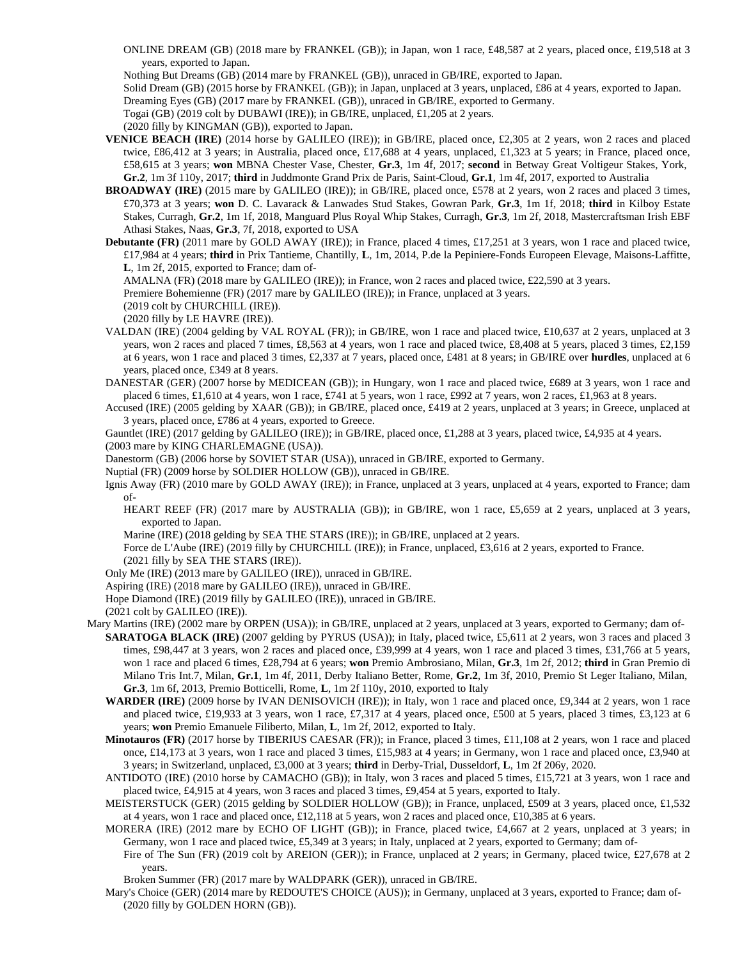ONLINE DREAM (GB) (2018 mare by FRANKEL (GB)); in Japan, won 1 race, £48,587 at 2 years, placed once, £19,518 at 3 years, exported to Japan.

Nothing But Dreams (GB) (2014 mare by FRANKEL (GB)), unraced in GB/IRE, exported to Japan.

Solid Dream (GB) (2015 horse by FRANKEL (GB)); in Japan, unplaced at 3 years, unplaced, £86 at 4 years, exported to Japan.

Dreaming Eyes (GB) (2017 mare by FRANKEL (GB)), unraced in GB/IRE, exported to Germany.

Togai (GB) (2019 colt by DUBAWI (IRE)); in GB/IRE, unplaced, £1,205 at 2 years.

(2020 filly by KINGMAN (GB)), exported to Japan.

- **VENICE BEACH (IRE)** (2014 horse by GALILEO (IRE)); in GB/IRE, placed once, £2,305 at 2 years, won 2 races and placed twice, £86,412 at 3 years; in Australia, placed once, £17,688 at 4 years, unplaced, £1,323 at 5 years; in France, placed once, £58,615 at 3 years; **won** MBNA Chester Vase, Chester, **Gr.3**, 1m 4f, 2017; **second** in Betway Great Voltigeur Stakes, York, **Gr.2**, 1m 3f 110y, 2017; **third** in Juddmonte Grand Prix de Paris, Saint-Cloud, **Gr.1**, 1m 4f, 2017, exported to Australia
- **BROADWAY (IRE)** (2015 mare by GALILEO (IRE)); in GB/IRE, placed once, £578 at 2 years, won 2 races and placed 3 times, £70,373 at 3 years; **won** D. C. Lavarack & Lanwades Stud Stakes, Gowran Park, **Gr.3**, 1m 1f, 2018; **third** in Kilboy Estate Stakes, Curragh, **Gr.2**, 1m 1f, 2018, Manguard Plus Royal Whip Stakes, Curragh, **Gr.3**, 1m 2f, 2018, Mastercraftsman Irish EBF Athasi Stakes, Naas, **Gr.3**, 7f, 2018, exported to USA
- **Debutante (FR)** (2011 mare by GOLD AWAY (IRE)); in France, placed 4 times, £17,251 at 3 years, won 1 race and placed twice, £17,984 at 4 years; **third** in Prix Tantieme, Chantilly, **L**, 1m, 2014, P.de la Pepiniere-Fonds Europeen Elevage, Maisons-Laffitte, **L**, 1m 2f, 2015, exported to France; dam of-

AMALNA (FR) (2018 mare by GALILEO (IRE)); in France, won 2 races and placed twice, £22,590 at 3 years.

Premiere Bohemienne (FR) (2017 mare by GALILEO (IRE)); in France, unplaced at 3 years.

(2019 colt by CHURCHILL (IRE)).

(2020 filly by LE HAVRE (IRE)).

- VALDAN (IRE) (2004 gelding by VAL ROYAL (FR)); in GB/IRE, won 1 race and placed twice, £10,637 at 2 years, unplaced at 3 years, won 2 races and placed 7 times, £8,563 at 4 years, won 1 race and placed twice, £8,408 at 5 years, placed 3 times, £2,159 at 6 years, won 1 race and placed 3 times, £2,337 at 7 years, placed once, £481 at 8 years; in GB/IRE over **hurdles**, unplaced at 6 years, placed once, £349 at 8 years.
- DANESTAR (GER) (2007 horse by MEDICEAN (GB)); in Hungary, won 1 race and placed twice, £689 at 3 years, won 1 race and placed 6 times, £1,610 at 4 years, won 1 race, £741 at 5 years, won 1 race, £992 at 7 years, won 2 races, £1,963 at 8 years.
- Accused (IRE) (2005 gelding by XAAR (GB)); in GB/IRE, placed once, £419 at 2 years, unplaced at 3 years; in Greece, unplaced at 3 years, placed once, £786 at 4 years, exported to Greece.

Gauntlet (IRE) (2017 gelding by GALILEO (IRE)); in GB/IRE, placed once, £1,288 at 3 years, placed twice, £4,935 at 4 years.

(2003 mare by KING CHARLEMAGNE (USA)).

Danestorm (GB) (2006 horse by SOVIET STAR (USA)), unraced in GB/IRE, exported to Germany.

Nuptial (FR) (2009 horse by SOLDIER HOLLOW (GB)), unraced in GB/IRE.

Ignis Away (FR) (2010 mare by GOLD AWAY (IRE)); in France, unplaced at 3 years, unplaced at 4 years, exported to France; dam of-

HEART REEF (FR) (2017 mare by AUSTRALIA (GB)); in GB/IRE, won 1 race, £5,659 at 2 years, unplaced at 3 years, exported to Japan.

Marine (IRE) (2018 gelding by SEA THE STARS (IRE)); in GB/IRE, unplaced at 2 years.

Force de L'Aube (IRE) (2019 filly by CHURCHILL (IRE)); in France, unplaced, £3,616 at 2 years, exported to France. (2021 filly by SEA THE STARS (IRE)).

Only Me (IRE) (2013 mare by GALILEO (IRE)), unraced in GB/IRE.

Aspiring (IRE) (2018 mare by GALILEO (IRE)), unraced in GB/IRE.

Hope Diamond (IRE) (2019 filly by GALILEO (IRE)), unraced in GB/IRE.

(2021 colt by GALILEO (IRE)).

- Mary Martins (IRE) (2002 mare by ORPEN (USA)); in GB/IRE, unplaced at 2 years, unplaced at 3 years, exported to Germany; dam of-**SARATOGA BLACK (IRE)** (2007 gelding by PYRUS (USA)); in Italy, placed twice, £5,611 at 2 years, won 3 races and placed 3 times, £98,447 at 3 years, won 2 races and placed once, £39,999 at 4 years, won 1 race and placed 3 times, £31,766 at 5 years, won 1 race and placed 6 times, £28,794 at 6 years; **won** Premio Ambrosiano, Milan, **Gr.3**, 1m 2f, 2012; **third** in Gran Premio di Milano Tris Int.7, Milan, **Gr.1**, 1m 4f, 2011, Derby Italiano Better, Rome, **Gr.2**, 1m 3f, 2010, Premio St Leger Italiano, Milan, **Gr.3**, 1m 6f, 2013, Premio Botticelli, Rome, **L**, 1m 2f 110y, 2010, exported to Italy
	- **WARDER (IRE)** (2009 horse by IVAN DENISOVICH (IRE)); in Italy, won 1 race and placed once, £9,344 at 2 years, won 1 race and placed twice, £19,933 at 3 years, won 1 race, £7,317 at 4 years, placed once, £500 at 5 years, placed 3 times, £3,123 at 6 years; **won** Premio Emanuele Filiberto, Milan, **L**, 1m 2f, 2012, exported to Italy.
	- **Minotauros (FR)** (2017 horse by TIBERIUS CAESAR (FR)); in France, placed 3 times, £11,108 at 2 years, won 1 race and placed once, £14,173 at 3 years, won 1 race and placed 3 times, £15,983 at 4 years; in Germany, won 1 race and placed once, £3,940 at 3 years; in Switzerland, unplaced, £3,000 at 3 years; **third** in Derby-Trial, Dusseldorf, **L**, 1m 2f 206y, 2020.
	- ANTIDOTO (IRE) (2010 horse by CAMACHO (GB)); in Italy, won 3 races and placed 5 times, £15,721 at 3 years, won 1 race and placed twice, £4,915 at 4 years, won 3 races and placed 3 times, £9,454 at 5 years, exported to Italy.
	- MEISTERSTUCK (GER) (2015 gelding by SOLDIER HOLLOW (GB)); in France, unplaced, £509 at 3 years, placed once, £1,532 at 4 years, won 1 race and placed once, £12,118 at 5 years, won 2 races and placed once, £10,385 at 6 years.
	- MORERA (IRE) (2012 mare by ECHO OF LIGHT (GB)); in France, placed twice, £4,667 at 2 years, unplaced at 3 years; in Germany, won 1 race and placed twice, £5,349 at 3 years; in Italy, unplaced at 2 years, exported to Germany; dam of-

Fire of The Sun (FR) (2019 colt by AREION (GER)); in France, unplaced at 2 years; in Germany, placed twice, £27,678 at 2 years.

Broken Summer (FR) (2017 mare by WALDPARK (GER)), unraced in GB/IRE.

Mary's Choice (GER) (2014 mare by REDOUTE'S CHOICE (AUS)); in Germany, unplaced at 3 years, exported to France; dam of- (2020 filly by GOLDEN HORN (GB)).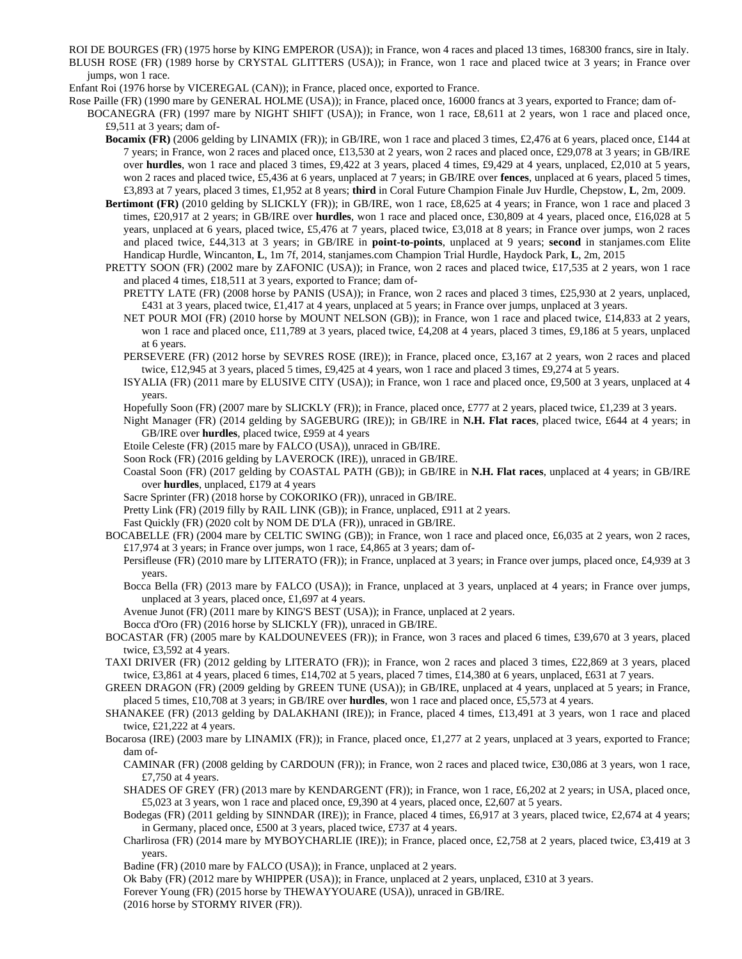ROI DE BOURGES (FR) (1975 horse by KING EMPEROR (USA)); in France, won 4 races and placed 13 times, 168300 francs, sire in Italy. BLUSH ROSE (FR) (1989 horse by CRYSTAL GLITTERS (USA)); in France, won 1 race and placed twice at 3 years; in France over jumps, won 1 race.

Enfant Roi (1976 horse by VICEREGAL (CAN)); in France, placed once, exported to France.

Rose Paille (FR) (1990 mare by GENERAL HOLME (USA)); in France, placed once, 16000 francs at 3 years, exported to France; dam of-

BOCANEGRA (FR) (1997 mare by NIGHT SHIFT (USA)); in France, won 1 race, £8,611 at 2 years, won 1 race and placed once, £9,511 at 3 years; dam of-

**Bocamix (FR)** (2006 gelding by LINAMIX (FR)); in GB/IRE, won 1 race and placed 3 times, £2,476 at 6 years, placed once, £144 at 7 years; in France, won 2 races and placed once, £13,530 at 2 years, won 2 races and placed once, £29,078 at 3 years; in GB/IRE over **hurdles**, won 1 race and placed 3 times, £9,422 at 3 years, placed 4 times, £9,429 at 4 years, unplaced, £2,010 at 5 years, won 2 races and placed twice, £5,436 at 6 years, unplaced at 7 years; in GB/IRE over **fences**, unplaced at 6 years, placed 5 times, £3,893 at 7 years, placed 3 times, £1,952 at 8 years; **third** in Coral Future Champion Finale Juv Hurdle, Chepstow, **L**, 2m, 2009.

**Bertimont (FR)** (2010 gelding by SLICKLY (FR)); in GB/IRE, won 1 race, £8,625 at 4 years; in France, won 1 race and placed 3 times, £20,917 at 2 years; in GB/IRE over **hurdles**, won 1 race and placed once, £30,809 at 4 years, placed once, £16,028 at 5 years, unplaced at 6 years, placed twice, £5,476 at 7 years, placed twice, £3,018 at 8 years; in France over jumps, won 2 races and placed twice, £44,313 at 3 years; in GB/IRE in **point-to-points**, unplaced at 9 years; **second** in stanjames.com Elite Handicap Hurdle, Wincanton, **L**, 1m 7f, 2014, stanjames.com Champion Trial Hurdle, Haydock Park, **L**, 2m, 2015

PRETTY SOON (FR) (2002 mare by ZAFONIC (USA)); in France, won 2 races and placed twice, £17,535 at 2 years, won 1 race and placed 4 times, £18,511 at 3 years, exported to France; dam of-

PRETTY LATE (FR) (2008 horse by PANIS (USA)); in France, won 2 races and placed 3 times, £25,930 at 2 years, unplaced, £431 at 3 years, placed twice, £1,417 at 4 years, unplaced at 5 years; in France over jumps, unplaced at 3 years.

NET POUR MOI (FR) (2010 horse by MOUNT NELSON (GB)); in France, won 1 race and placed twice, £14,833 at 2 years, won 1 race and placed once, £11,789 at 3 years, placed twice, £4,208 at 4 years, placed 3 times, £9,186 at 5 years, unplaced at 6 years.

PERSEVERE (FR) (2012 horse by SEVRES ROSE (IRE)); in France, placed once, £3,167 at 2 years, won 2 races and placed twice, £12,945 at 3 years, placed 5 times, £9,425 at 4 years, won 1 race and placed 3 times, £9,274 at 5 years.

ISYALIA (FR) (2011 mare by ELUSIVE CITY (USA)); in France, won 1 race and placed once, £9,500 at 3 years, unplaced at 4 years.

Hopefully Soon (FR) (2007 mare by SLICKLY (FR)); in France, placed once, £777 at 2 years, placed twice, £1,239 at 3 years.

Night Manager (FR) (2014 gelding by SAGEBURG (IRE)); in GB/IRE in **N.H. Flat races**, placed twice, £644 at 4 years; in GB/IRE over **hurdles**, placed twice, £959 at 4 years

- Etoile Celeste (FR) (2015 mare by FALCO (USA)), unraced in GB/IRE.
- Soon Rock (FR) (2016 gelding by LAVEROCK (IRE)), unraced in GB/IRE.

Coastal Soon (FR) (2017 gelding by COASTAL PATH (GB)); in GB/IRE in **N.H. Flat races**, unplaced at 4 years; in GB/IRE over **hurdles**, unplaced, £179 at 4 years

Sacre Sprinter (FR) (2018 horse by COKORIKO (FR)), unraced in GB/IRE.

Pretty Link (FR) (2019 filly by RAIL LINK (GB)); in France, unplaced, £911 at 2 years.

Fast Quickly (FR) (2020 colt by NOM DE D'LA (FR)), unraced in GB/IRE.

BOCABELLE (FR) (2004 mare by CELTIC SWING (GB)); in France, won 1 race and placed once, £6,035 at 2 years, won 2 races, £17,974 at 3 years; in France over jumps, won 1 race, £4,865 at 3 years; dam of-

Persifleuse (FR) (2010 mare by LITERATO (FR)); in France, unplaced at 3 years; in France over jumps, placed once, £4,939 at 3 years.

Bocca Bella (FR) (2013 mare by FALCO (USA)); in France, unplaced at 3 years, unplaced at 4 years; in France over jumps, unplaced at 3 years, placed once, £1,697 at 4 years.

Avenue Junot (FR) (2011 mare by KING'S BEST (USA)); in France, unplaced at 2 years.

Bocca d'Oro (FR) (2016 horse by SLICKLY (FR)), unraced in GB/IRE.

BOCASTAR (FR) (2005 mare by KALDOUNEVEES (FR)); in France, won 3 races and placed 6 times, £39,670 at 3 years, placed twice, £3,592 at 4 years.

TAXI DRIVER (FR) (2012 gelding by LITERATO (FR)); in France, won 2 races and placed 3 times, £22,869 at 3 years, placed twice, £3,861 at 4 years, placed 6 times, £14,702 at 5 years, placed 7 times, £14,380 at 6 years, unplaced, £631 at 7 years.

GREEN DRAGON (FR) (2009 gelding by GREEN TUNE (USA)); in GB/IRE, unplaced at 4 years, unplaced at 5 years; in France, placed 5 times, £10,708 at 3 years; in GB/IRE over **hurdles**, won 1 race and placed once, £5,573 at 4 years.

SHANAKEE (FR) (2013 gelding by DALAKHANI (IRE)); in France, placed 4 times, £13,491 at 3 years, won 1 race and placed twice, £21,222 at 4 years.

Bocarosa (IRE) (2003 mare by LINAMIX (FR)); in France, placed once, £1,277 at 2 years, unplaced at 3 years, exported to France; dam of-

CAMINAR (FR) (2008 gelding by CARDOUN (FR)); in France, won 2 races and placed twice, £30,086 at 3 years, won 1 race, £7,750 at 4 years.

SHADES OF GREY (FR) (2013 mare by KENDARGENT (FR)); in France, won 1 race, £6,202 at 2 years; in USA, placed once, £5,023 at 3 years, won 1 race and placed once, £9,390 at 4 years, placed once, £2,607 at 5 years.

Bodegas (FR) (2011 gelding by SINNDAR (IRE)); in France, placed 4 times, £6,917 at 3 years, placed twice, £2,674 at 4 years; in Germany, placed once, £500 at 3 years, placed twice, £737 at 4 years.

Charlirosa (FR) (2014 mare by MYBOYCHARLIE (IRE)); in France, placed once, £2,758 at 2 years, placed twice, £3,419 at 3 years.

Badine (FR) (2010 mare by FALCO (USA)); in France, unplaced at 2 years.

Ok Baby (FR) (2012 mare by WHIPPER (USA)); in France, unplaced at 2 years, unplaced, £310 at 3 years.

Forever Young (FR) (2015 horse by THEWAYYOUARE (USA)), unraced in GB/IRE.

(2016 horse by STORMY RIVER (FR)).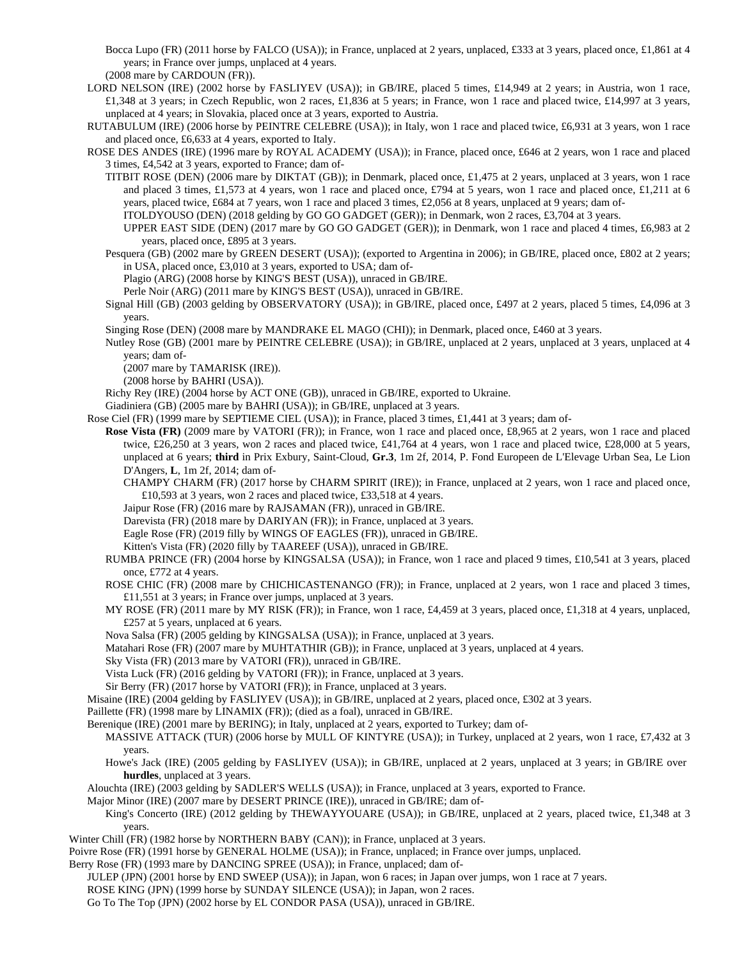Bocca Lupo (FR) (2011 horse by FALCO (USA)); in France, unplaced at 2 years, unplaced, £333 at 3 years, placed once, £1,861 at 4 years; in France over jumps, unplaced at 4 years.

(2008 mare by CARDOUN (FR)).

- LORD NELSON (IRE) (2002 horse by FASLIYEV (USA)); in GB/IRE, placed 5 times, £14,949 at 2 years; in Austria, won 1 race, £1,348 at 3 years; in Czech Republic, won 2 races, £1,836 at 5 years; in France, won 1 race and placed twice, £14,997 at 3 years, unplaced at 4 years; in Slovakia, placed once at 3 years, exported to Austria.
- RUTABULUM (IRE) (2006 horse by PEINTRE CELEBRE (USA)); in Italy, won 1 race and placed twice, £6,931 at 3 years, won 1 race and placed once, £6,633 at 4 years, exported to Italy.
- ROSE DES ANDES (IRE) (1996 mare by ROYAL ACADEMY (USA)); in France, placed once, £646 at 2 years, won 1 race and placed 3 times, £4,542 at 3 years, exported to France; dam of-
	- TITBIT ROSE (DEN) (2006 mare by DIKTAT (GB)); in Denmark, placed once, £1,475 at 2 years, unplaced at 3 years, won 1 race and placed 3 times, £1,573 at 4 years, won 1 race and placed once, £794 at 5 years, won 1 race and placed once, £1,211 at 6 years, placed twice, £684 at 7 years, won 1 race and placed 3 times, £2,056 at 8 years, unplaced at 9 years; dam of-

ITOLDYOUSO (DEN) (2018 gelding by GO GO GADGET (GER)); in Denmark, won 2 races, £3,704 at 3 years.

UPPER EAST SIDE (DEN) (2017 mare by GO GO GADGET (GER)); in Denmark, won 1 race and placed 4 times, £6,983 at 2 years, placed once, £895 at 3 years.

Pesquera (GB) (2002 mare by GREEN DESERT (USA)); (exported to Argentina in 2006); in GB/IRE, placed once, £802 at 2 years; in USA, placed once, £3,010 at 3 years, exported to USA; dam of-

Plagio (ARG) (2008 horse by KING'S BEST (USA)), unraced in GB/IRE.

Perle Noir (ARG) (2011 mare by KING'S BEST (USA)), unraced in GB/IRE.

Signal Hill (GB) (2003 gelding by OBSERVATORY (USA)); in GB/IRE, placed once, £497 at 2 years, placed 5 times, £4,096 at 3 years.

Singing Rose (DEN) (2008 mare by MANDRAKE EL MAGO (CHI)); in Denmark, placed once, £460 at 3 years.

Nutley Rose (GB) (2001 mare by PEINTRE CELEBRE (USA)); in GB/IRE, unplaced at 2 years, unplaced at 3 years, unplaced at 4 years; dam of-

(2007 mare by TAMARISK (IRE)).

(2008 horse by BAHRI (USA)).

Richy Rey (IRE) (2004 horse by ACT ONE (GB)), unraced in GB/IRE, exported to Ukraine.

Giadiniera (GB) (2005 mare by BAHRI (USA)); in GB/IRE, unplaced at 3 years.

Rose Ciel (FR) (1999 mare by SEPTIEME CIEL (USA)); in France, placed 3 times, £1,441 at 3 years; dam of-

- **Rose Vista (FR)** (2009 mare by VATORI (FR)); in France, won 1 race and placed once, £8,965 at 2 years, won 1 race and placed twice, £26,250 at 3 years, won 2 races and placed twice, £41,764 at 4 years, won 1 race and placed twice, £28,000 at 5 years, unplaced at 6 years; **third** in Prix Exbury, Saint-Cloud, **Gr.3**, 1m 2f, 2014, P. Fond Europeen de L'Elevage Urban Sea, Le Lion D'Angers, **L**, 1m 2f, 2014; dam of-
	- CHAMPY CHARM (FR) (2017 horse by CHARM SPIRIT (IRE)); in France, unplaced at 2 years, won 1 race and placed once, £10,593 at 3 years, won 2 races and placed twice, £33,518 at 4 years.
	- Jaipur Rose (FR) (2016 mare by RAJSAMAN (FR)), unraced in GB/IRE.

Darevista (FR) (2018 mare by DARIYAN (FR)); in France, unplaced at 3 years.

Eagle Rose (FR) (2019 filly by WINGS OF EAGLES (FR)), unraced in GB/IRE.

Kitten's Vista (FR) (2020 filly by TAAREEF (USA)), unraced in GB/IRE.

- RUMBA PRINCE (FR) (2004 horse by KINGSALSA (USA)); in France, won 1 race and placed 9 times, £10,541 at 3 years, placed once, £772 at 4 years.
- ROSE CHIC (FR) (2008 mare by CHICHICASTENANGO (FR)); in France, unplaced at 2 years, won 1 race and placed 3 times, £11,551 at 3 years; in France over jumps, unplaced at 3 years.
- MY ROSE (FR) (2011 mare by MY RISK (FR)); in France, won 1 race, £4,459 at 3 years, placed once, £1,318 at 4 years, unplaced, £257 at 5 years, unplaced at 6 years.

Nova Salsa (FR) (2005 gelding by KINGSALSA (USA)); in France, unplaced at 3 years.

Matahari Rose (FR) (2007 mare by MUHTATHIR (GB)); in France, unplaced at 3 years, unplaced at 4 years.

Sky Vista (FR) (2013 mare by VATORI (FR)), unraced in GB/IRE.

Vista Luck (FR) (2016 gelding by VATORI (FR)); in France, unplaced at 3 years.

Sir Berry (FR) (2017 horse by VATORI (FR)); in France, unplaced at 3 years.

Misaine (IRE) (2004 gelding by FASLIYEV (USA)); in GB/IRE, unplaced at 2 years, placed once, £302 at 3 years.

Paillette (FR) (1998 mare by LINAMIX (FR)); (died as a foal), unraced in GB/IRE.

Berenique (IRE) (2001 mare by BERING); in Italy, unplaced at 2 years, exported to Turkey; dam of-

MASSIVE ATTACK (TUR) (2006 horse by MULL OF KINTYRE (USA)); in Turkey, unplaced at 2 years, won 1 race, £7,432 at 3 years.

Howe's Jack (IRE) (2005 gelding by FASLIYEV (USA)); in GB/IRE, unplaced at 2 years, unplaced at 3 years; in GB/IRE over **hurdles**, unplaced at 3 years.

Alouchta (IRE) (2003 gelding by SADLER'S WELLS (USA)); in France, unplaced at 3 years, exported to France.

Major Minor (IRE) (2007 mare by DESERT PRINCE (IRE)), unraced in GB/IRE; dam of-

King's Concerto (IRE) (2012 gelding by THEWAYYOUARE (USA)); in GB/IRE, unplaced at 2 years, placed twice, £1,348 at 3 years.

Winter Chill (FR) (1982 horse by NORTHERN BABY (CAN)); in France, unplaced at 3 years.

Poivre Rose (FR) (1991 horse by GENERAL HOLME (USA)); in France, unplaced; in France over jumps, unplaced.

Berry Rose (FR) (1993 mare by DANCING SPREE (USA)); in France, unplaced; dam of-

JULEP (JPN) (2001 horse by END SWEEP (USA)); in Japan, won 6 races; in Japan over jumps, won 1 race at 7 years.

ROSE KING (JPN) (1999 horse by SUNDAY SILENCE (USA)); in Japan, won 2 races.

Go To The Top (JPN) (2002 horse by EL CONDOR PASA (USA)), unraced in GB/IRE.